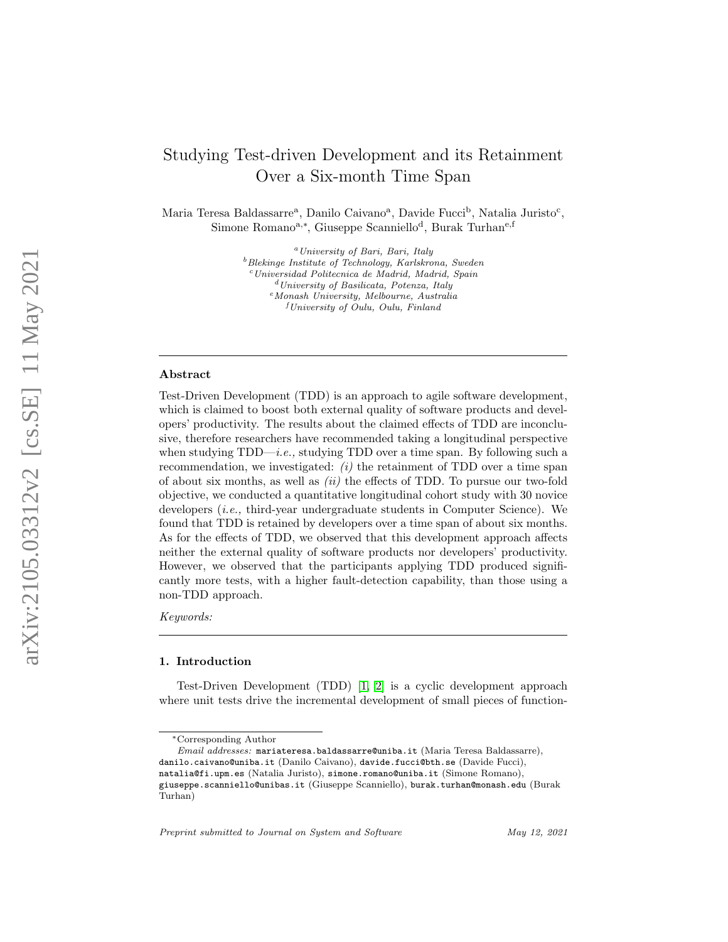# Studying Test-driven Development and its Retainment Over a Six-month Time Span

Maria Teresa Baldassarre<sup>a</sup>, Danilo Caivano<sup>a</sup>, Davide Fucci<sup>b</sup>, Natalia Juristo<sup>c</sup>, Simone Romano<sup>a,\*</sup>, Giuseppe Scanniello<sup>d</sup>, Burak Turhan<sup>e,f</sup>

> $^{a}$ University of Bari, Bari, Italy  $^{b}$ Blekinge Institute of Technology, Karlskrona, Sweden <sup>c</sup>Universidad Politecnica de Madrid, Madrid, Spain <sup>d</sup>University of Basilicata, Potenza, Italy <sup>e</sup>Monash University, Melbourne, Australia  ${}^{f}University$  of Oulu, Oulu, Finland

# Abstract

Test-Driven Development (TDD) is an approach to agile software development, which is claimed to boost both external quality of software products and developers' productivity. The results about the claimed effects of TDD are inconclusive, therefore researchers have recommended taking a longitudinal perspective when studying TDD—*i.e.*, studying TDD over a time span. By following such a recommendation, we investigated:  $(i)$  the retainment of TDD over a time span of about six months, as well as  $(ii)$  the effects of TDD. To pursue our two-fold objective, we conducted a quantitative longitudinal cohort study with 30 novice developers *(i.e., third-year undergraduate students in Computer Science)*. We found that TDD is retained by developers over a time span of about six months. As for the effects of TDD, we observed that this development approach affects neither the external quality of software products nor developers' productivity. However, we observed that the participants applying TDD produced significantly more tests, with a higher fault-detection capability, than those using a non-TDD approach.

Keywords:

#### 1. Introduction

Test-Driven Development (TDD) [\[1,](#page-33-0) [2\]](#page-34-0) is a cyclic development approach where unit tests drive the incremental development of small pieces of function-

<sup>∗</sup>Corresponding Author

Email addresses: mariateresa.baldassarre@uniba.it (Maria Teresa Baldassarre), danilo.caivano@uniba.it (Danilo Caivano), davide.fucci@bth.se (Davide Fucci), natalia@fi.upm.es (Natalia Juristo), simone.romano@uniba.it (Simone Romano), giuseppe.scanniello@unibas.it (Giuseppe Scanniello), burak.turhan@monash.edu (Burak Turhan)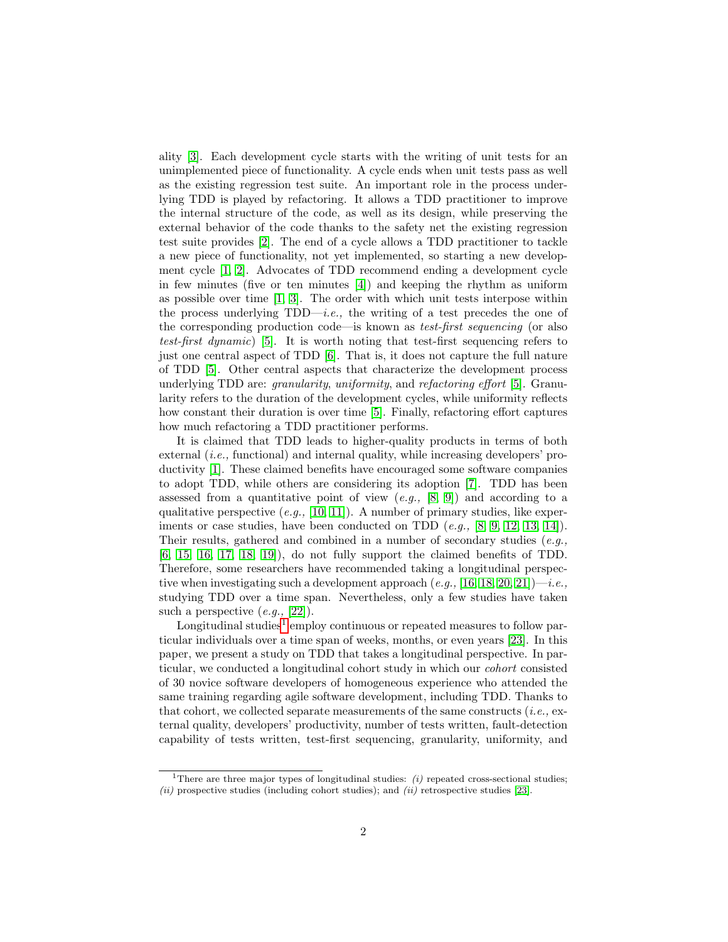ality [\[3\]](#page-34-1). Each development cycle starts with the writing of unit tests for an unimplemented piece of functionality. A cycle ends when unit tests pass as well as the existing regression test suite. An important role in the process underlying TDD is played by refactoring. It allows a TDD practitioner to improve the internal structure of the code, as well as its design, while preserving the external behavior of the code thanks to the safety net the existing regression test suite provides [\[2\]](#page-34-0). The end of a cycle allows a TDD practitioner to tackle a new piece of functionality, not yet implemented, so starting a new development cycle [\[1,](#page-33-0) [2\]](#page-34-0). Advocates of TDD recommend ending a development cycle in few minutes (five or ten minutes [\[4\]](#page-34-2)) and keeping the rhythm as uniform as possible over time  $\left[1, 3\right]$  $\left[1, 3\right]$  $\left[1, 3\right]$ . The order with which unit tests interpose within the process underlying  $TDD-i.e.,$  the writing of a test precedes the one of the corresponding production code—is known as test-first sequencing (or also test-first dynamic) [\[5\]](#page-34-3). It is worth noting that test-first sequencing refers to just one central aspect of TDD [\[6\]](#page-34-4). That is, it does not capture the full nature of TDD [\[5\]](#page-34-3). Other central aspects that characterize the development process underlying TDD are: granularity, uniformity, and refactoring effort [\[5\]](#page-34-3). Granularity refers to the duration of the development cycles, while uniformity reflects how constant their duration is over time [\[5\]](#page-34-3). Finally, refactoring effort captures how much refactoring a TDD practitioner performs.

It is claimed that TDD leads to higher-quality products in terms of both external  $(i.e.,$  functional) and internal quality, while increasing developers' productivity [\[1\]](#page-33-0). These claimed benefits have encouraged some software companies to adopt TDD, while others are considering its adoption [\[7\]](#page-34-5). TDD has been assessed from a quantitative point of view  $(e.g., [8, 9])$  $(e.g., [8, 9])$  $(e.g., [8, 9])$  $(e.g., [8, 9])$  and according to a qualitative perspective  $(e,q, [10, 11])$  $(e,q, [10, 11])$  $(e,q, [10, 11])$  $(e,q, [10, 11])$ . A number of primary studies, like experiments or case studies, have been conducted on TDD  $(e.q., [8, 9, 12, 13, 14])$  $(e.q., [8, 9, 12, 13, 14])$  $(e.q., [8, 9, 12, 13, 14])$  $(e.q., [8, 9, 12, 13, 14])$  $(e.q., [8, 9, 12, 13, 14])$  $(e.q., [8, 9, 12, 13, 14])$  $(e.q., [8, 9, 12, 13, 14])$ . Their results, gathered and combined in a number of secondary studies  $(e.q.,$ [\[6,](#page-34-4) [15,](#page-35-2) [16,](#page-35-3) [17,](#page-35-4) [18,](#page-35-5) [19\]](#page-35-6)), do not fully support the claimed benefits of TDD. Therefore, some researchers have recommended taking a longitudinal perspective when investigating such a development approach  $(e.g., [16, 18, 20, 21])$  $(e.g., [16, 18, 20, 21])$  $(e.g., [16, 18, 20, 21])$  $(e.g., [16, 18, 20, 21])$  $(e.g., [16, 18, 20, 21])$  $(e.g., [16, 18, 20, 21])$ —*i.e.*, studying TDD over a time span. Nevertheless, only a few studies have taken such a perspective  $(e,q, [22])$  $(e,q, [22])$  $(e,q, [22])$ .

Longitudinal studies<sup>[1](#page-1-0)</sup> employ continuous or repeated measures to follow particular individuals over a time span of weeks, months, or even years [\[23\]](#page-35-10). In this paper, we present a study on TDD that takes a longitudinal perspective. In particular, we conducted a longitudinal cohort study in which our cohort consisted of 30 novice software developers of homogeneous experience who attended the same training regarding agile software development, including TDD. Thanks to that cohort, we collected separate measurements of the same constructs  $(i.e.,$  external quality, developers' productivity, number of tests written, fault-detection capability of tests written, test-first sequencing, granularity, uniformity, and

<span id="page-1-0"></span><sup>&</sup>lt;sup>1</sup>There are three major types of longitudinal studies:  $(i)$  repeated cross-sectional studies;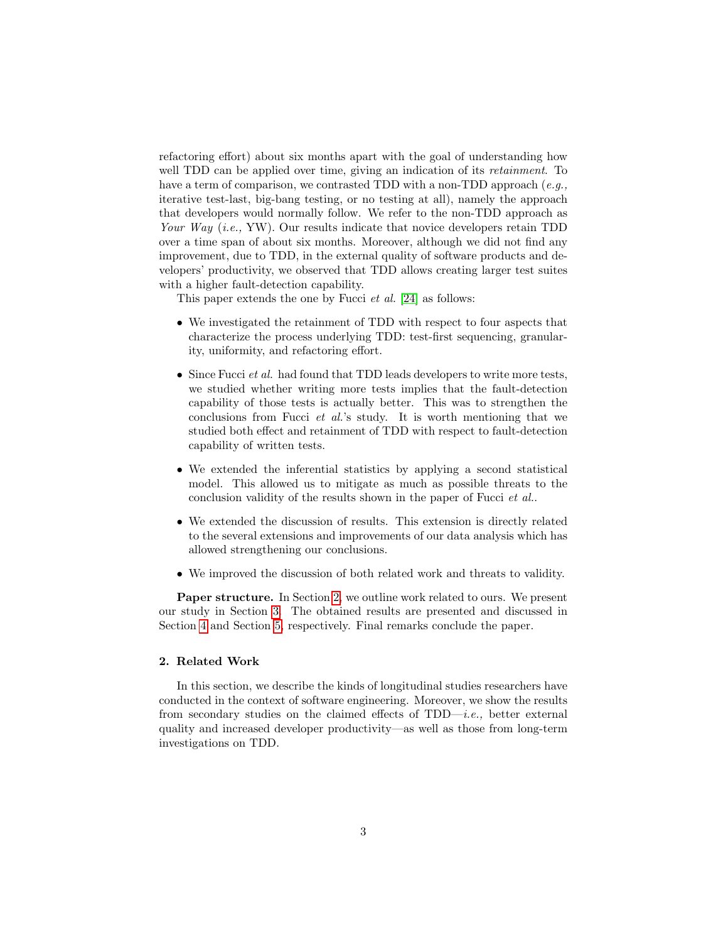refactoring effort) about six months apart with the goal of understanding how well TDD can be applied over time, giving an indication of its *retainment*. To have a term of comparison, we contrasted TDD with a non-TDD approach  $(e.g.,)$ iterative test-last, big-bang testing, or no testing at all), namely the approach that developers would normally follow. We refer to the non-TDD approach as Your Way (i.e., YW). Our results indicate that novice developers retain TDD over a time span of about six months. Moreover, although we did not find any improvement, due to TDD, in the external quality of software products and developers' productivity, we observed that TDD allows creating larger test suites with a higher fault-detection capability.

This paper extends the one by Fucci et al. [\[24\]](#page-35-11) as follows:

- We investigated the retainment of TDD with respect to four aspects that characterize the process underlying TDD: test-first sequencing, granularity, uniformity, and refactoring effort.
- Since Fucci *et al.* had found that TDD leads developers to write more tests, we studied whether writing more tests implies that the fault-detection capability of those tests is actually better. This was to strengthen the conclusions from Fucci et al.'s study. It is worth mentioning that we studied both effect and retainment of TDD with respect to fault-detection capability of written tests.
- We extended the inferential statistics by applying a second statistical model. This allowed us to mitigate as much as possible threats to the conclusion validity of the results shown in the paper of Fucci et al..
- We extended the discussion of results. This extension is directly related to the several extensions and improvements of our data analysis which has allowed strengthening our conclusions.
- We improved the discussion of both related work and threats to validity.

Paper structure. In Section [2,](#page-2-0) we outline work related to ours. We present our study in Section [3.](#page-5-0) The obtained results are presented and discussed in Section [4](#page-17-0) and Section [5,](#page-28-0) respectively. Final remarks conclude the paper.

# <span id="page-2-0"></span>2. Related Work

In this section, we describe the kinds of longitudinal studies researchers have conducted in the context of software engineering. Moreover, we show the results from secondary studies on the claimed effects of  $TDD-i.e.,$  better external quality and increased developer productivity—as well as those from long-term investigations on TDD.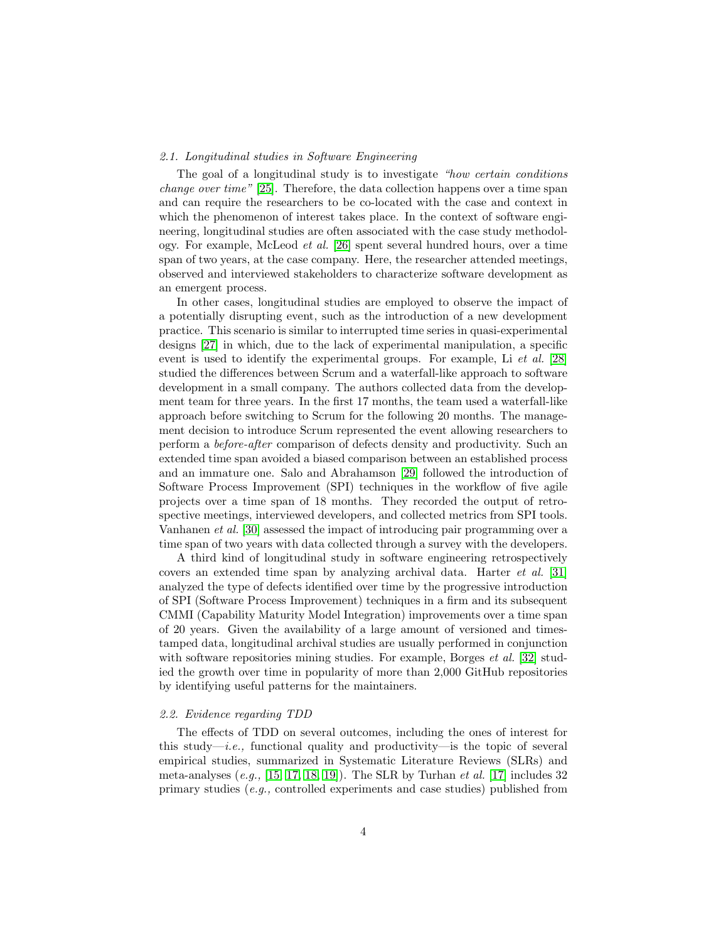## 2.1. Longitudinal studies in Software Engineering

The goal of a longitudinal study is to investigate "how certain conditions change over time" [\[25\]](#page-36-0). Therefore, the data collection happens over a time span and can require the researchers to be co-located with the case and context in which the phenomenon of interest takes place. In the context of software engineering, longitudinal studies are often associated with the case study methodology. For example, McLeod et al. [\[26\]](#page-36-1) spent several hundred hours, over a time span of two years, at the case company. Here, the researcher attended meetings, observed and interviewed stakeholders to characterize software development as an emergent process.

In other cases, longitudinal studies are employed to observe the impact of a potentially disrupting event, such as the introduction of a new development practice. This scenario is similar to interrupted time series in quasi-experimental designs [\[27\]](#page-36-2) in which, due to the lack of experimental manipulation, a specific event is used to identify the experimental groups. For example, Li et al. [\[28\]](#page-36-3) studied the differences between Scrum and a waterfall-like approach to software development in a small company. The authors collected data from the development team for three years. In the first 17 months, the team used a waterfall-like approach before switching to Scrum for the following 20 months. The management decision to introduce Scrum represented the event allowing researchers to perform a before-after comparison of defects density and productivity. Such an extended time span avoided a biased comparison between an established process and an immature one. Salo and Abrahamson [\[29\]](#page-36-4) followed the introduction of Software Process Improvement (SPI) techniques in the workflow of five agile projects over a time span of 18 months. They recorded the output of retrospective meetings, interviewed developers, and collected metrics from SPI tools. Vanhanen et al. [\[30\]](#page-36-5) assessed the impact of introducing pair programming over a time span of two years with data collected through a survey with the developers.

A third kind of longitudinal study in software engineering retrospectively covers an extended time span by analyzing archival data. Harter et al. [\[31\]](#page-36-6) analyzed the type of defects identified over time by the progressive introduction of SPI (Software Process Improvement) techniques in a firm and its subsequent CMMI (Capability Maturity Model Integration) improvements over a time span of 20 years. Given the availability of a large amount of versioned and timestamped data, longitudinal archival studies are usually performed in conjunction with software repositories mining studies. For example, Borges *et al.* [\[32\]](#page-36-7) studied the growth over time in popularity of more than 2,000 GitHub repositories by identifying useful patterns for the maintainers.

## <span id="page-3-0"></span>2.2. Evidence regarding TDD

The effects of TDD on several outcomes, including the ones of interest for this study—*i.e.*, functional quality and productivity—is the topic of several empirical studies, summarized in Systematic Literature Reviews (SLRs) and meta-analyses  $(e,q, [15, 17, 18, 19])$  $(e,q, [15, 17, 18, 19])$  $(e,q, [15, 17, 18, 19])$  $(e,q, [15, 17, 18, 19])$  $(e,q, [15, 17, 18, 19])$  $(e,q, [15, 17, 18, 19])$ . The SLR by Turhan *et al.* [\[17\]](#page-35-4) includes 32 primary studies (e.g., controlled experiments and case studies) published from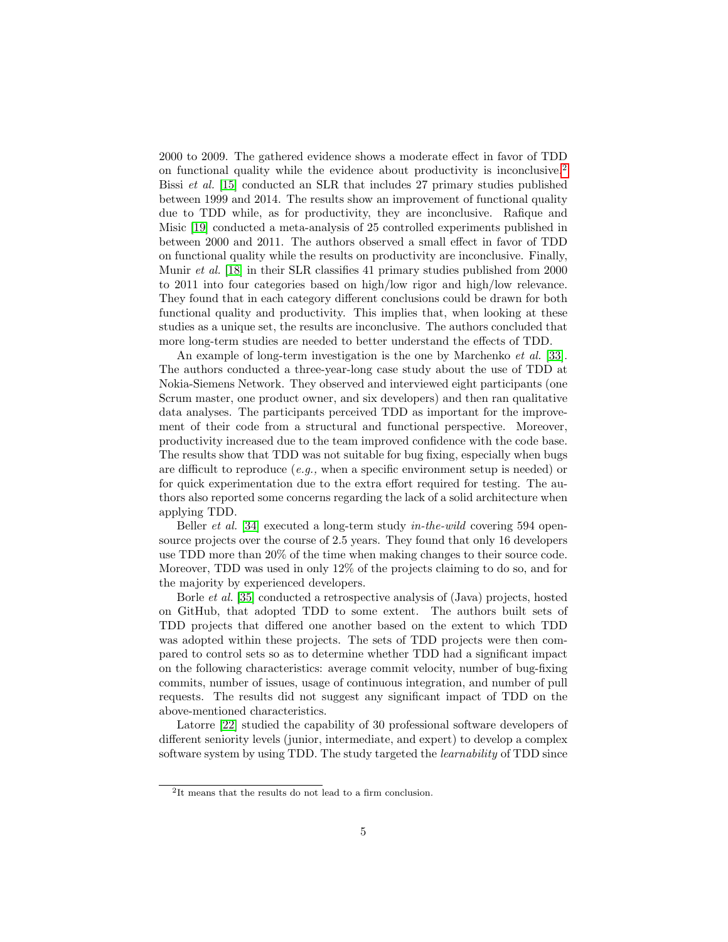2000 to 2009. The gathered evidence shows a moderate effect in favor of TDD on functional quality while the evidence about productivity is inconclusive.[2](#page-4-0) Bissi et al. [\[15\]](#page-35-2) conducted an SLR that includes 27 primary studies published between 1999 and 2014. The results show an improvement of functional quality due to TDD while, as for productivity, they are inconclusive. Rafique and Misic [\[19\]](#page-35-6) conducted a meta-analysis of 25 controlled experiments published in between 2000 and 2011. The authors observed a small effect in favor of TDD on functional quality while the results on productivity are inconclusive. Finally, Munir et al. [\[18\]](#page-35-5) in their SLR classifies 41 primary studies published from 2000 to 2011 into four categories based on high/low rigor and high/low relevance. They found that in each category different conclusions could be drawn for both functional quality and productivity. This implies that, when looking at these studies as a unique set, the results are inconclusive. The authors concluded that more long-term studies are needed to better understand the effects of TDD.

An example of long-term investigation is the one by Marchenko *et al.* [\[33\]](#page-36-8). The authors conducted a three-year-long case study about the use of TDD at Nokia-Siemens Network. They observed and interviewed eight participants (one Scrum master, one product owner, and six developers) and then ran qualitative data analyses. The participants perceived TDD as important for the improvement of their code from a structural and functional perspective. Moreover, productivity increased due to the team improved confidence with the code base. The results show that TDD was not suitable for bug fixing, especially when bugs are difficult to reproduce (e.g., when a specific environment setup is needed) or for quick experimentation due to the extra effort required for testing. The authors also reported some concerns regarding the lack of a solid architecture when applying TDD.

Beller *et al.* [\[34\]](#page-36-9) executed a long-term study *in-the-wild* covering 594 opensource projects over the course of 2.5 years. They found that only 16 developers use TDD more than 20% of the time when making changes to their source code. Moreover, TDD was used in only 12% of the projects claiming to do so, and for the majority by experienced developers.

Borle et al. [\[35\]](#page-36-10) conducted a retrospective analysis of (Java) projects, hosted on GitHub, that adopted TDD to some extent. The authors built sets of TDD projects that differed one another based on the extent to which TDD was adopted within these projects. The sets of TDD projects were then compared to control sets so as to determine whether TDD had a significant impact on the following characteristics: average commit velocity, number of bug-fixing commits, number of issues, usage of continuous integration, and number of pull requests. The results did not suggest any significant impact of TDD on the above-mentioned characteristics.

Latorre [\[22\]](#page-35-9) studied the capability of 30 professional software developers of different seniority levels (junior, intermediate, and expert) to develop a complex software system by using TDD. The study targeted the learnability of TDD since

<span id="page-4-0"></span><sup>2</sup> It means that the results do not lead to a firm conclusion.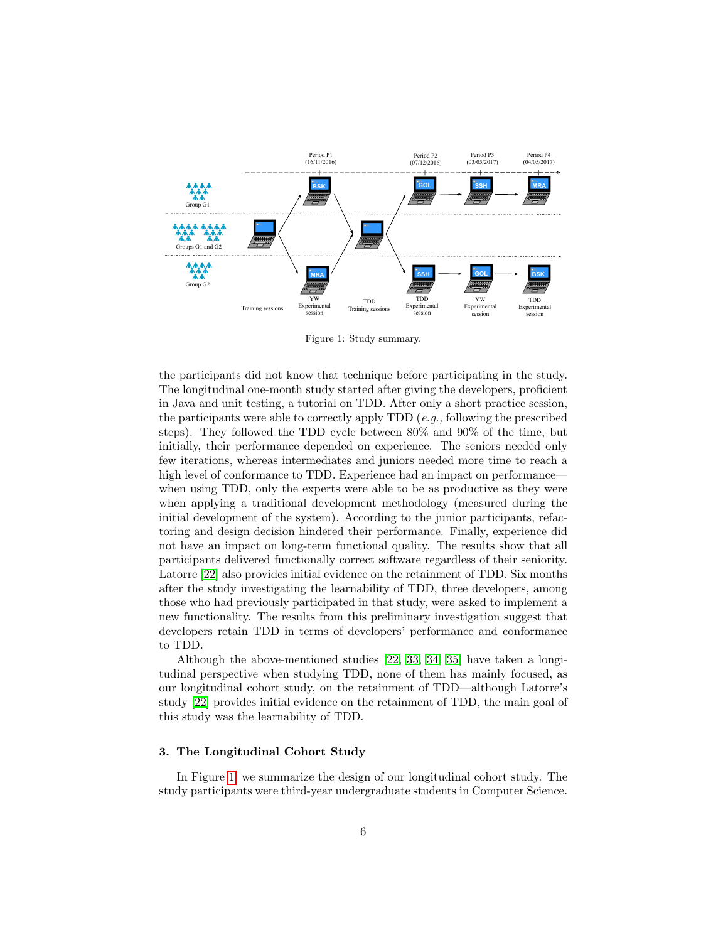

<span id="page-5-1"></span>Figure 1: Study summary.

the participants did not know that technique before participating in the study. The longitudinal one-month study started after giving the developers, proficient in Java and unit testing, a tutorial on TDD. After only a short practice session, the participants were able to correctly apply TDD  $(e,q.)$ , following the prescribed steps). They followed the TDD cycle between 80% and 90% of the time, but initially, their performance depended on experience. The seniors needed only few iterations, whereas intermediates and juniors needed more time to reach a high level of conformance to TDD. Experience had an impact on performance when using TDD, only the experts were able to be as productive as they were when applying a traditional development methodology (measured during the initial development of the system). According to the junior participants, refactoring and design decision hindered their performance. Finally, experience did not have an impact on long-term functional quality. The results show that all participants delivered functionally correct software regardless of their seniority. Latorre [\[22\]](#page-35-9) also provides initial evidence on the retainment of TDD. Six months after the study investigating the learnability of TDD, three developers, among those who had previously participated in that study, were asked to implement a new functionality. The results from this preliminary investigation suggest that developers retain TDD in terms of developers' performance and conformance to TDD.

Although the above-mentioned studies [\[22,](#page-35-9) [33,](#page-36-8) [34,](#page-36-9) [35\]](#page-36-10) have taken a longitudinal perspective when studying TDD, none of them has mainly focused, as our longitudinal cohort study, on the retainment of TDD—although Latorre's study [\[22\]](#page-35-9) provides initial evidence on the retainment of TDD, the main goal of this study was the learnability of TDD.

## <span id="page-5-0"></span>3. The Longitudinal Cohort Study

In Figure [1,](#page-5-1) we summarize the design of our longitudinal cohort study. The study participants were third-year undergraduate students in Computer Science.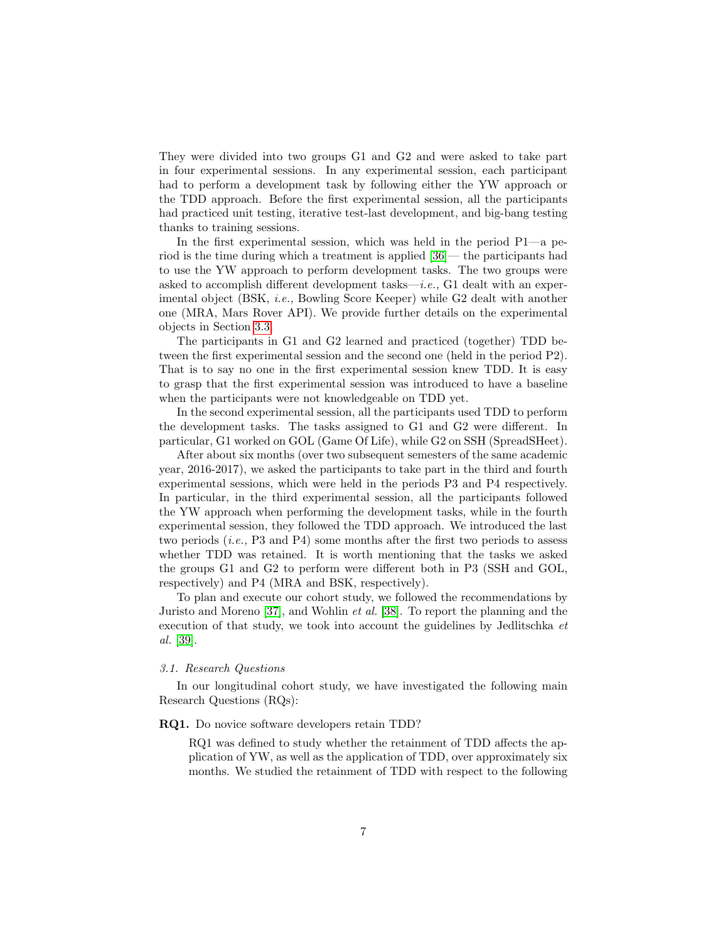They were divided into two groups G1 and G2 and were asked to take part in four experimental sessions. In any experimental session, each participant had to perform a development task by following either the YW approach or the TDD approach. Before the first experimental session, all the participants had practiced unit testing, iterative test-last development, and big-bang testing thanks to training sessions.

In the first experimental session, which was held in the period P1—a period is the time during which a treatment is applied [\[36\]](#page-36-11)— the participants had to use the YW approach to perform development tasks. The two groups were asked to accomplish different development tasks—i.e.,  $G1$  dealt with an experimental object (BSK, *i.e.*, Bowling Score Keeper) while G2 dealt with another one (MRA, Mars Rover API). We provide further details on the experimental objects in Section [3.3.](#page-8-0)

The participants in G1 and G2 learned and practiced (together) TDD between the first experimental session and the second one (held in the period P2). That is to say no one in the first experimental session knew TDD. It is easy to grasp that the first experimental session was introduced to have a baseline when the participants were not knowledgeable on TDD yet.

In the second experimental session, all the participants used TDD to perform the development tasks. The tasks assigned to G1 and G2 were different. In particular, G1 worked on GOL (Game Of Life), while G2 on SSH (SpreadSHeet).

After about six months (over two subsequent semesters of the same academic year, 2016-2017), we asked the participants to take part in the third and fourth experimental sessions, which were held in the periods P3 and P4 respectively. In particular, in the third experimental session, all the participants followed the YW approach when performing the development tasks, while in the fourth experimental session, they followed the TDD approach. We introduced the last two periods (i.e., P3 and P4) some months after the first two periods to assess whether TDD was retained. It is worth mentioning that the tasks we asked the groups G1 and G2 to perform were different both in P3 (SSH and GOL, respectively) and P4 (MRA and BSK, respectively).

To plan and execute our cohort study, we followed the recommendations by Juristo and Moreno [\[37\]](#page-37-0), and Wohlin et al. [\[38\]](#page-37-1). To report the planning and the execution of that study, we took into account the guidelines by Jedlitschka et al. [\[39\]](#page-37-2).

# 3.1. Research Questions

In our longitudinal cohort study, we have investigated the following main Research Questions (RQs):

#### RQ1. Do novice software developers retain TDD?

RQ1 was defined to study whether the retainment of TDD affects the application of YW, as well as the application of TDD, over approximately six months. We studied the retainment of TDD with respect to the following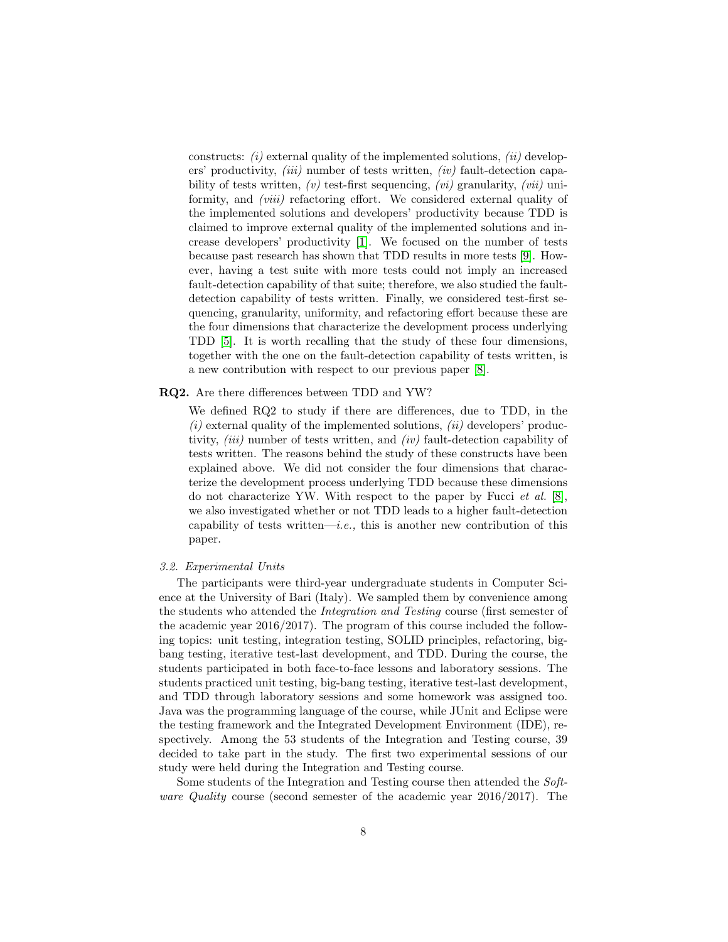constructs:  $(i)$  external quality of the implemented solutions,  $(ii)$  developers' productivity, *(iii)* number of tests written, *(iv)* fault-detection capability of tests written,  $(v)$  test-first sequencing,  $(vi)$  granularity,  $(vii)$  uniformity, and *(viii)* refactoring effort. We considered external quality of the implemented solutions and developers' productivity because TDD is claimed to improve external quality of the implemented solutions and increase developers' productivity [\[1\]](#page-33-0). We focused on the number of tests because past research has shown that TDD results in more tests [\[9\]](#page-34-7). However, having a test suite with more tests could not imply an increased fault-detection capability of that suite; therefore, we also studied the faultdetection capability of tests written. Finally, we considered test-first sequencing, granularity, uniformity, and refactoring effort because these are the four dimensions that characterize the development process underlying TDD [\[5\]](#page-34-3). It is worth recalling that the study of these four dimensions, together with the one on the fault-detection capability of tests written, is a new contribution with respect to our previous paper [\[8\]](#page-34-6).

## RQ2. Are there differences between TDD and YW?

We defined RQ2 to study if there are differences, due to TDD, in the  $(i)$  external quality of the implemented solutions,  $(ii)$  developers' productivity,  $(iii)$  number of tests written, and  $(iv)$  fault-detection capability of tests written. The reasons behind the study of these constructs have been explained above. We did not consider the four dimensions that characterize the development process underlying TDD because these dimensions do not characterize YW. With respect to the paper by Fucci *et al.* [\[8\]](#page-34-6), we also investigated whether or not TDD leads to a higher fault-detection capability of tests written—*i.e.*, this is another new contribution of this paper.

#### 3.2. Experimental Units

The participants were third-year undergraduate students in Computer Science at the University of Bari (Italy). We sampled them by convenience among the students who attended the Integration and Testing course (first semester of the academic year 2016/2017). The program of this course included the following topics: unit testing, integration testing, SOLID principles, refactoring, bigbang testing, iterative test-last development, and TDD. During the course, the students participated in both face-to-face lessons and laboratory sessions. The students practiced unit testing, big-bang testing, iterative test-last development, and TDD through laboratory sessions and some homework was assigned too. Java was the programming language of the course, while JUnit and Eclipse were the testing framework and the Integrated Development Environment (IDE), respectively. Among the 53 students of the Integration and Testing course, 39 decided to take part in the study. The first two experimental sessions of our study were held during the Integration and Testing course.

Some students of the Integration and Testing course then attended the Software Quality course (second semester of the academic year 2016/2017). The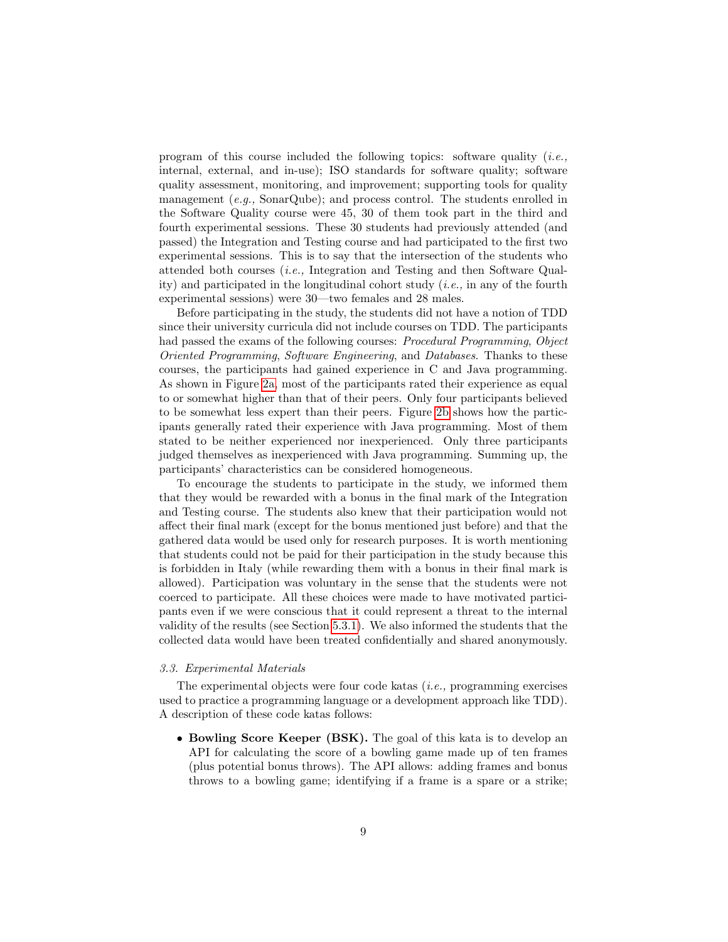program of this course included the following topics: software quality  $(i.e.,$ internal, external, and in-use); ISO standards for software quality; software quality assessment, monitoring, and improvement; supporting tools for quality management  $(e.g., SonarQube)$ ; and process control. The students enrolled in the Software Quality course were 45, 30 of them took part in the third and fourth experimental sessions. These 30 students had previously attended (and passed) the Integration and Testing course and had participated to the first two experimental sessions. This is to say that the intersection of the students who attended both courses (i.e., Integration and Testing and then Software Quality) and participated in the longitudinal cohort study (*i.e.*, in any of the fourth experimental sessions) were 30—two females and 28 males.

Before participating in the study, the students did not have a notion of TDD since their university curricula did not include courses on TDD. The participants had passed the exams of the following courses: Procedural Programming, Object Oriented Programming, Software Engineering, and Databases. Thanks to these courses, the participants had gained experience in C and Java programming. As shown in Figure [2a,](#page-9-0) most of the participants rated their experience as equal to or somewhat higher than that of their peers. Only four participants believed to be somewhat less expert than their peers. Figure [2b](#page-9-1) shows how the participants generally rated their experience with Java programming. Most of them stated to be neither experienced nor inexperienced. Only three participants judged themselves as inexperienced with Java programming. Summing up, the participants' characteristics can be considered homogeneous.

To encourage the students to participate in the study, we informed them that they would be rewarded with a bonus in the final mark of the Integration and Testing course. The students also knew that their participation would not affect their final mark (except for the bonus mentioned just before) and that the gathered data would be used only for research purposes. It is worth mentioning that students could not be paid for their participation in the study because this is forbidden in Italy (while rewarding them with a bonus in their final mark is allowed). Participation was voluntary in the sense that the students were not coerced to participate. All these choices were made to have motivated participants even if we were conscious that it could represent a threat to the internal validity of the results (see Section [5.3.1\)](#page-31-0). We also informed the students that the collected data would have been treated confidentially and shared anonymously.

# <span id="page-8-0"></span>3.3. Experimental Materials

The experimental objects were four code katas  $(i.e., programming exercises)$ used to practice a programming language or a development approach like TDD). A description of these code katas follows:

• Bowling Score Keeper (BSK). The goal of this kata is to develop an API for calculating the score of a bowling game made up of ten frames (plus potential bonus throws). The API allows: adding frames and bonus throws to a bowling game; identifying if a frame is a spare or a strike;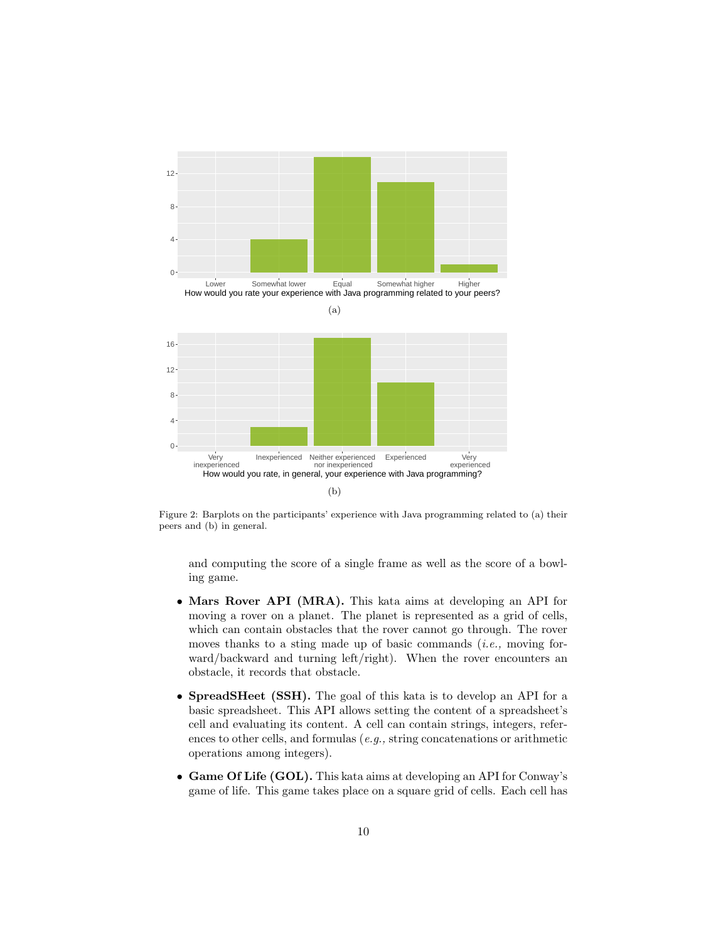<span id="page-9-1"></span><span id="page-9-0"></span>

Figure 2: Barplots on the participants' experience with Java programming related to (a) their peers and (b) in general.

and computing the score of a single frame as well as the score of a bowling game.

- Mars Rover API (MRA). This kata aims at developing an API for moving a rover on a planet. The planet is represented as a grid of cells, which can contain obstacles that the rover cannot go through. The rover moves thanks to a sting made up of basic commands  $(i.e.,$  moving forward/backward and turning left/right). When the rover encounters an obstacle, it records that obstacle.
- SpreadSHeet (SSH). The goal of this kata is to develop an API for a basic spreadsheet. This API allows setting the content of a spreadsheet's cell and evaluating its content. A cell can contain strings, integers, references to other cells, and formulas (e.g., string concatenations or arithmetic operations among integers).
- Game Of Life (GOL). This kata aims at developing an API for Conway's game of life. This game takes place on a square grid of cells. Each cell has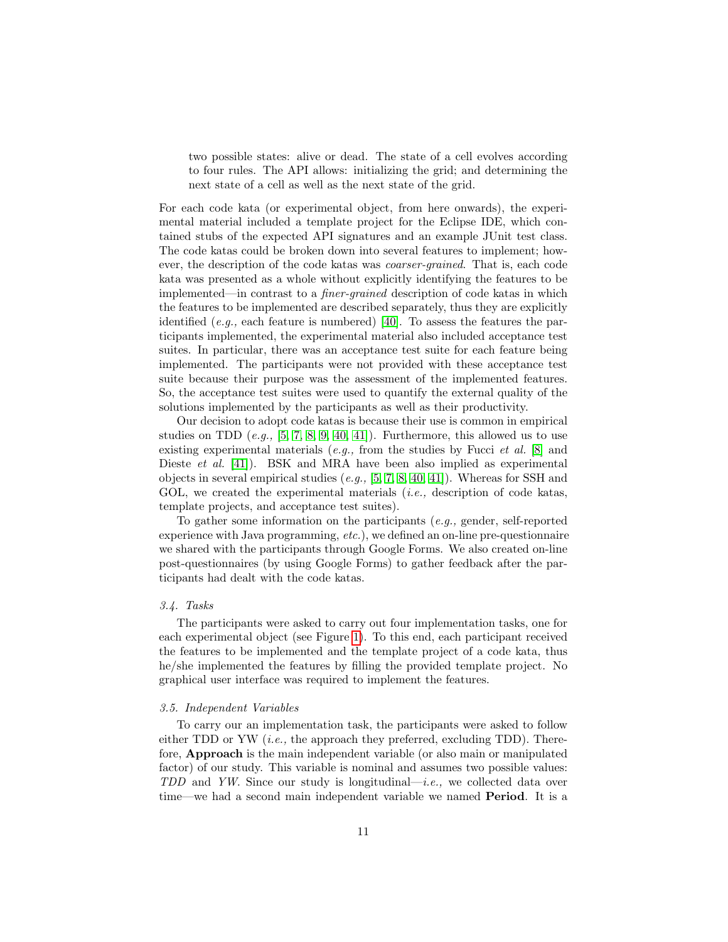two possible states: alive or dead. The state of a cell evolves according to four rules. The API allows: initializing the grid; and determining the next state of a cell as well as the next state of the grid.

For each code kata (or experimental object, from here onwards), the experimental material included a template project for the Eclipse IDE, which contained stubs of the expected API signatures and an example JUnit test class. The code katas could be broken down into several features to implement; however, the description of the code katas was coarser-grained. That is, each code kata was presented as a whole without explicitly identifying the features to be implemented—in contrast to a finer-grained description of code katas in which the features to be implemented are described separately, thus they are explicitly identified (e.g., each feature is numbered) [\[40\]](#page-37-3). To assess the features the participants implemented, the experimental material also included acceptance test suites. In particular, there was an acceptance test suite for each feature being implemented. The participants were not provided with these acceptance test suite because their purpose was the assessment of the implemented features. So, the acceptance test suites were used to quantify the external quality of the solutions implemented by the participants as well as their productivity.

Our decision to adopt code katas is because their use is common in empirical studies on TDD  $(e.g., [5, 7, 8, 9, 40, 41])$  $(e.g., [5, 7, 8, 9, 40, 41])$  $(e.g., [5, 7, 8, 9, 40, 41])$  $(e.g., [5, 7, 8, 9, 40, 41])$  $(e.g., [5, 7, 8, 9, 40, 41])$  $(e.g., [5, 7, 8, 9, 40, 41])$  $(e.g., [5, 7, 8, 9, 40, 41])$  $(e.g., [5, 7, 8, 9, 40, 41])$ . Furthermore, this allowed us to use existing experimental materials (e.g., from the studies by Fucci et al.  $[8]$  and Dieste et al. [\[41\]](#page-37-4)). BSK and MRA have been also implied as experimental objects in several empirical studies (e.g., [\[5,](#page-34-3) [7,](#page-34-5) [8,](#page-34-6) [40,](#page-37-3) [41\]](#page-37-4)). Whereas for SSH and GOL, we created the experimental materials  $(i.e.,$  description of code katas, template projects, and acceptance test suites).

To gather some information on the participants (e.g., gender, self-reported experience with Java programming, etc.), we defined an on-line pre-questionnaire we shared with the participants through Google Forms. We also created on-line post-questionnaires (by using Google Forms) to gather feedback after the participants had dealt with the code katas.

#### 3.4. Tasks

The participants were asked to carry out four implementation tasks, one for each experimental object (see Figure [1\)](#page-5-1). To this end, each participant received the features to be implemented and the template project of a code kata, thus he/she implemented the features by filling the provided template project. No graphical user interface was required to implement the features.

#### 3.5. Independent Variables

To carry our an implementation task, the participants were asked to follow either TDD or YW  $(i.e.,$  the approach they preferred, excluding TDD). Therefore, Approach is the main independent variable (or also main or manipulated factor) of our study. This variable is nominal and assumes two possible values: TDD and YW. Since our study is longitudinal—i.e., we collected data over time—we had a second main independent variable we named Period. It is a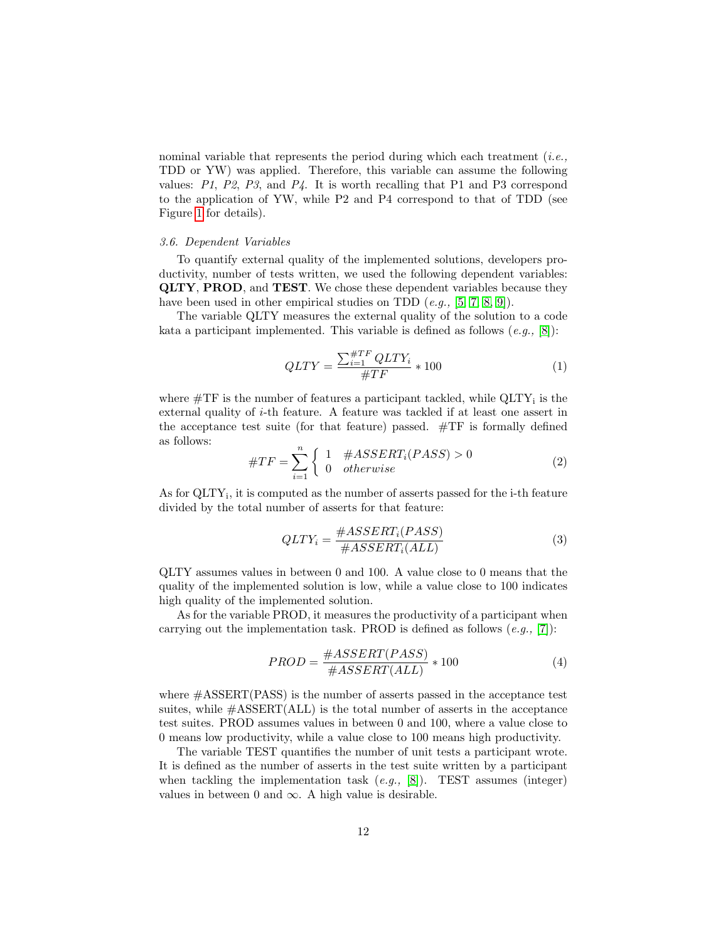nominal variable that represents the period during which each treatment  $(i.e.,$ TDD or YW) was applied. Therefore, this variable can assume the following values:  $P1$ ,  $P2$ ,  $P3$ , and  $P4$ . It is worth recalling that P1 and P3 correspond to the application of YW, while P2 and P4 correspond to that of TDD (see Figure [1](#page-5-1) for details).

#### <span id="page-11-0"></span>3.6. Dependent Variables

To quantify external quality of the implemented solutions, developers productivity, number of tests written, we used the following dependent variables: QLTY, PROD, and TEST. We chose these dependent variables because they have been used in other empirical studies on TDD  $(e.g., [5, 7, 8, 9])$  $(e.g., [5, 7, 8, 9])$  $(e.g., [5, 7, 8, 9])$  $(e.g., [5, 7, 8, 9])$  $(e.g., [5, 7, 8, 9])$  $(e.g., [5, 7, 8, 9])$ .

The variable QLTY measures the external quality of the solution to a code kata a participant implemented. This variable is defined as follows  $(e.g., [8])$  $(e.g., [8])$  $(e.g., [8])$ :

$$
QLTY = \frac{\sum_{i=1}^{\#TF} QLTY_i}{\#TF} * 100\tag{1}
$$

where  $\#\mathrm{TF}$  is the number of features a participant tackled, while  $\mathrm{QLTY}_i$  is the external quality of  $i$ -th feature. A feature was tackled if at least one assert in the acceptance test suite (for that feature) passed. #TF is formally defined as follows:

$$
#TF = \sum_{i=1}^{n} \begin{cases} 1 & #ASSERT_i(PASS) > 0\\ 0 & otherwise \end{cases}
$$
 (2)

As for QLTY<sub>i</sub>, it is computed as the number of asserts passed for the i-th feature divided by the total number of asserts for that feature:

$$
QLTY_i = \frac{\#ASSERT_i(PASS)}{\#ASSERT_i(ALL)}\tag{3}
$$

QLTY assumes values in between 0 and 100. A value close to 0 means that the quality of the implemented solution is low, while a value close to 100 indicates high quality of the implemented solution.

As for the variable PROD, it measures the productivity of a participant when carrying out the implementation task. PROD is defined as follows  $(e.g., [7])$  $(e.g., [7])$  $(e.g., [7])$ :

$$
PROD = \frac{\#ASSERT(PASS)}{\#ASSERT(ALL)} * 100
$$
\n(4)

where #ASSERT(PASS) is the number of asserts passed in the acceptance test suites, while  $\#ASSENT(ALL)$  is the total number of asserts in the acceptance test suites. PROD assumes values in between 0 and 100, where a value close to 0 means low productivity, while a value close to 100 means high productivity.

The variable TEST quantifies the number of unit tests a participant wrote. It is defined as the number of asserts in the test suite written by a participant when tackling the implementation task  $(e,q, [8])$  $(e,q, [8])$  $(e,q, [8])$ . TEST assumes (integer) values in between 0 and  $\infty$ . A high value is desirable.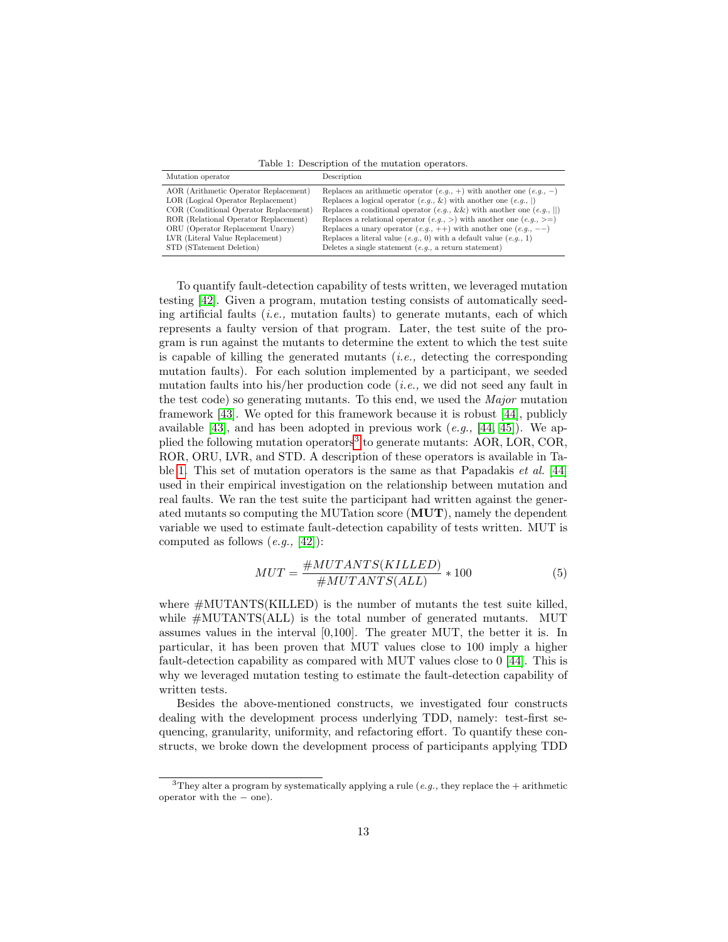<span id="page-12-1"></span>Table 1: Description of the mutation operators.

| Mutation operator                      | Description                                                                  |
|----------------------------------------|------------------------------------------------------------------------------|
| AOR (Arithmetic Operator Replacement)  | Replaces an arithmetic operator $(e.g., +)$ with another one $(e.g., -)$     |
| LOR (Logical Operator Replacement)     | Replaces a logical operator $(e.g., \&)$ with another one $(e.g., \,  )$     |
| COR (Conditional Operator Replacement) | Replaces a conditional operator $(e.g., \&\&)$ with another one $(e.g.,   )$ |
| ROR (Relational Operator Replacement)  | Replaces a relational operator $(e.g., >)$ with another one $(e.g., >=)$     |
| ORU (Operator Replacement Unary)       | Replaces a unary operator $(e.g., ++)$ with another one $(e.g., --)$         |
| LVR (Literal Value Replacement)        | Replaces a literal value $(e.g., 0)$ with a default value $(e.g., 1)$        |
| STD (STatement Deletion)               | Deletes a single statement $(e.g., a return statement)$                      |

To quantify fault-detection capability of tests written, we leveraged mutation testing [\[42\]](#page-37-5). Given a program, mutation testing consists of automatically seeding artificial faults  $(i.e.,$  mutation faults) to generate mutants, each of which represents a faulty version of that program. Later, the test suite of the program is run against the mutants to determine the extent to which the test suite is capable of killing the generated mutants  $(i.e.,$  detecting the corresponding mutation faults). For each solution implemented by a participant, we seeded mutation faults into his/her production code (*i.e.*, we did not seed any fault in the test code) so generating mutants. To this end, we used the Major mutation framework [\[43\]](#page-37-6). We opted for this framework because it is robust [\[44\]](#page-37-7), publicly available [\[43\]](#page-37-6), and has been adopted in previous work  $(e.g., [44, 45])$  $(e.g., [44, 45])$  $(e.g., [44, 45])$  $(e.g., [44, 45])$ . We ap-plied the following mutation operators<sup>[3](#page-12-0)</sup> to generate mutants: AOR, LOR, COR, ROR, ORU, LVR, and STD. A description of these operators is available in Table [1.](#page-12-1) This set of mutation operators is the same as that Papadakis et al. [\[44\]](#page-37-7) used in their empirical investigation on the relationship between mutation and real faults. We ran the test suite the participant had written against the generated mutants so computing the MUTation score (MUT), namely the dependent variable we used to estimate fault-detection capability of tests written. MUT is computed as follows  $(e.g., [42])$  $(e.g., [42])$  $(e.g., [42])$ :

$$
MUT = \frac{\#MUTANTS(KILLED)}{\#MUTANTS(ALL)} * 100
$$
\n(5)

where #MUTANTS(KILLED) is the number of mutants the test suite killed, while #MUTANTS(ALL) is the total number of generated mutants. MUT assumes values in the interval [0,100]. The greater MUT, the better it is. In particular, it has been proven that MUT values close to 100 imply a higher fault-detection capability as compared with MUT values close to 0 [\[44\]](#page-37-7). This is why we leveraged mutation testing to estimate the fault-detection capability of written tests.

Besides the above-mentioned constructs, we investigated four constructs dealing with the development process underlying TDD, namely: test-first sequencing, granularity, uniformity, and refactoring effort. To quantify these constructs, we broke down the development process of participants applying TDD

<span id="page-12-0"></span><sup>&</sup>lt;sup>3</sup>They alter a program by systematically applying a rule (*e.g.*, they replace the  $+$  arithmetic operator with the − one).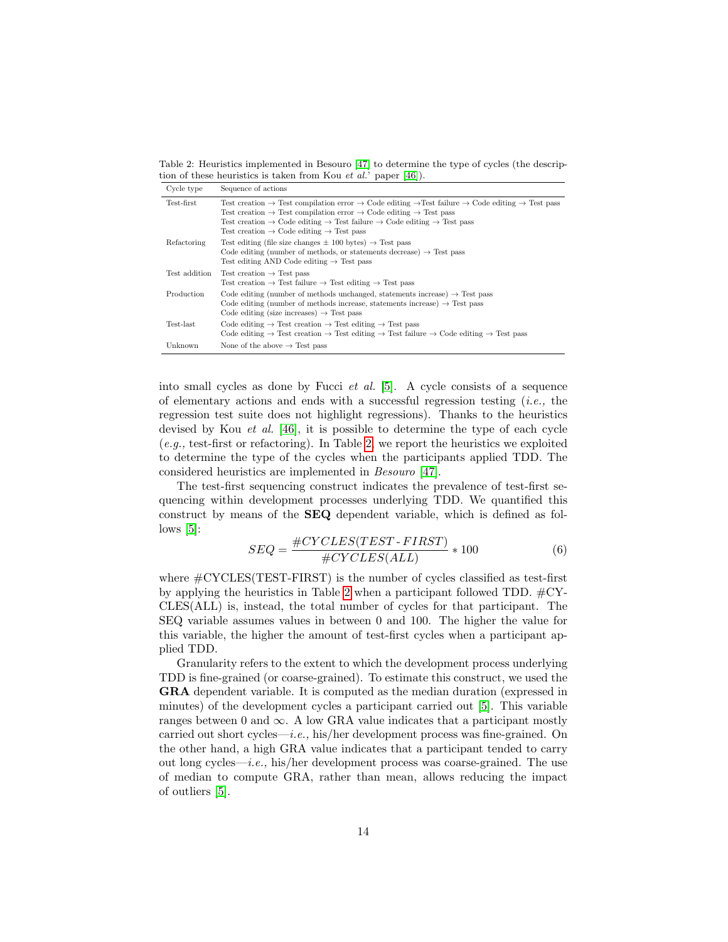<span id="page-13-0"></span>Table 2: Heuristics implemented in Besouro [\[47\]](#page-37-9) to determine the type of cycles (the description of these heuristics is taken from Kou et al.' paper [\[46\]](#page-37-10)).

| Cycle type    | Sequence of actions                                                                                                                                                                                                                                                                                                                                                                                                                                                |
|---------------|--------------------------------------------------------------------------------------------------------------------------------------------------------------------------------------------------------------------------------------------------------------------------------------------------------------------------------------------------------------------------------------------------------------------------------------------------------------------|
| Test-first    | Test creation $\rightarrow$ Test compilation error $\rightarrow$ Code editing $\rightarrow$ Test failure $\rightarrow$ Code editing $\rightarrow$ Test pass<br>Test creation $\rightarrow$ Test compilation error $\rightarrow$ Code editing $\rightarrow$ Test pass<br>Test creation $\rightarrow$ Code editing $\rightarrow$ Test failure $\rightarrow$ Code editing $\rightarrow$ Test pass<br>Test creation $\rightarrow$ Code editing $\rightarrow$ Test pass |
| Refactoring   | Test editing (file size changes $\pm$ 100 bytes) $\rightarrow$ Test pass<br>Code editing (number of methods, or statements decrease) $\rightarrow$ Test pass<br>Test editing AND Code editing $\rightarrow$ Test pass                                                                                                                                                                                                                                              |
| Test addition | Test creation $\rightarrow$ Test pass<br>Test creation $\rightarrow$ Test failure $\rightarrow$ Test editing $\rightarrow$ Test pass                                                                                                                                                                                                                                                                                                                               |
| Production    | Code editing (number of methods unchanged, statements increase) $\rightarrow$ Test pass<br>Code editing (number of methods increase, statements increase) $\rightarrow$ Test pass<br>Code editing (size increases) $\rightarrow$ Test pass                                                                                                                                                                                                                         |
| Test-last     | Code editing $\rightarrow$ Test creation $\rightarrow$ Test editing $\rightarrow$ Test pass<br>Code editing $\rightarrow$ Test creation $\rightarrow$ Test editing $\rightarrow$ Test failure $\rightarrow$ Code editing $\rightarrow$ Test pass                                                                                                                                                                                                                   |
| Unknown       | None of the above $\rightarrow$ Test pass                                                                                                                                                                                                                                                                                                                                                                                                                          |

into small cycles as done by Fucci et al. [\[5\]](#page-34-3). A cycle consists of a sequence of elementary actions and ends with a successful regression testing (*i.e.*, the regression test suite does not highlight regressions). Thanks to the heuristics devised by Kou et al. [\[46\]](#page-37-10), it is possible to determine the type of each cycle (e.g., test-first or refactoring). In Table [2,](#page-13-0) we report the heuristics we exploited to determine the type of the cycles when the participants applied TDD. The considered heuristics are implemented in Besouro [\[47\]](#page-37-9).

The test-first sequencing construct indicates the prevalence of test-first sequencing within development processes underlying TDD. We quantified this construct by means of the SEQ dependent variable, which is defined as follows  $[5]$ :

$$
SEQ = \frac{\# CYCLES(TEST - FIRST)}{\# CYCLES(ALL)} * 100
$$
\n(6)

where  $\#\text{CYCLES}(\text{TEST-FIRST})$  is the number of cycles classified as test-first by applying the heuristics in Table [2](#page-13-0) when a participant followed TDD.  $\#CY$ -CLES(ALL) is, instead, the total number of cycles for that participant. The SEQ variable assumes values in between 0 and 100. The higher the value for this variable, the higher the amount of test-first cycles when a participant applied TDD.

Granularity refers to the extent to which the development process underlying TDD is fine-grained (or coarse-grained). To estimate this construct, we used the GRA dependent variable. It is computed as the median duration (expressed in minutes) of the development cycles a participant carried out [\[5\]](#page-34-3). This variable ranges between 0 and  $\infty$ . A low GRA value indicates that a participant mostly carried out short cycles—*i.e.*, his/her development process was fine-grained. On the other hand, a high GRA value indicates that a participant tended to carry out long cycles—*i.e.*, his/her development process was coarse-grained. The use of median to compute GRA, rather than mean, allows reducing the impact of outliers [\[5\]](#page-34-3).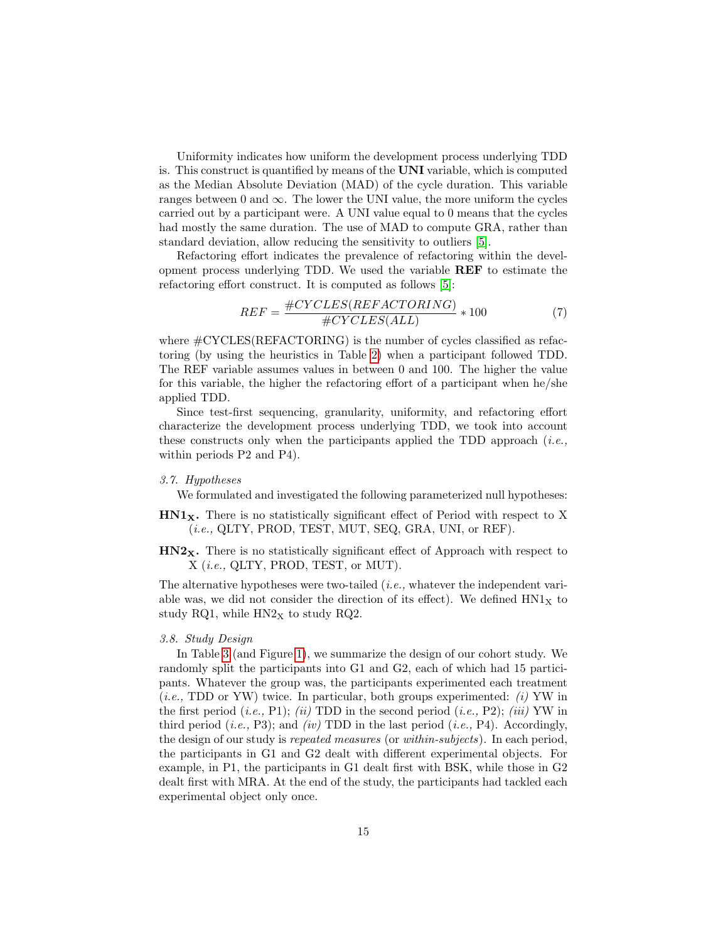Uniformity indicates how uniform the development process underlying TDD is. This construct is quantified by means of the UNI variable, which is computed as the Median Absolute Deviation (MAD) of the cycle duration. This variable ranges between 0 and  $\infty$ . The lower the UNI value, the more uniform the cycles carried out by a participant were. A UNI value equal to 0 means that the cycles had mostly the same duration. The use of MAD to compute GRA, rather than standard deviation, allow reducing the sensitivity to outliers [\[5\]](#page-34-3).

Refactoring effort indicates the prevalence of refactoring within the development process underlying TDD. We used the variable REF to estimate the refactoring effort construct. It is computed as follows [\[5\]](#page-34-3):

$$
REF = \frac{\#CYCLES(REFACTORING)}{\#CYCLES(ALL)} * 100
$$
\n(7)

where  $\#\text{CYCLES}(\text{REFACTORING})$  is the number of cycles classified as refactoring (by using the heuristics in Table [2\)](#page-13-0) when a participant followed TDD. The REF variable assumes values in between 0 and 100. The higher the value for this variable, the higher the refactoring effort of a participant when he/she applied TDD.

Since test-first sequencing, granularity, uniformity, and refactoring effort characterize the development process underlying TDD, we took into account these constructs only when the participants applied the TDD approach  $(i.e.,$ within periods P2 and P4).

#### 3.7. Hypotheses

We formulated and investigated the following parameterized null hypotheses:

- $HNI<sub>X</sub>$ . There is no statistically significant effect of Period with respect to X  $(i.e., \, QLTY, \, PROD, \, TEST, \, MUT, \, SEQ, \, GRA, \, UNI, \, or \, REF).$
- HN2X. There is no statistically significant effect of Approach with respect to X (i.e., QLTY, PROD, TEST, or MUT).

The alternative hypotheses were two-tailed (*i.e.*, whatever the independent variable was, we did not consider the direction of its effect). We defined  $HNI<sub>X</sub>$  to study RQ1, while  $HN2<sub>X</sub>$  to study RQ2.

# 3.8. Study Design

In Table [3](#page-15-0) (and Figure [1\)](#page-5-1), we summarize the design of our cohort study. We randomly split the participants into G1 and G2, each of which had 15 participants. Whatever the group was, the participants experimented each treatment  $(i.e., TDD$  or YW) twice. In particular, both groups experimented: (i) YW in the first period (*i.e.*, P1); (*ii*) TDD in the second period (*i.e.*, P2); (*iii*) YW in third period (*i.e.*, P3); and *(iv)* TDD in the last period (*i.e.*, P4). Accordingly, the design of our study is repeated measures (or within-subjects). In each period, the participants in G1 and G2 dealt with different experimental objects. For example, in P1, the participants in G1 dealt first with BSK, while those in G2 dealt first with MRA. At the end of the study, the participants had tackled each experimental object only once.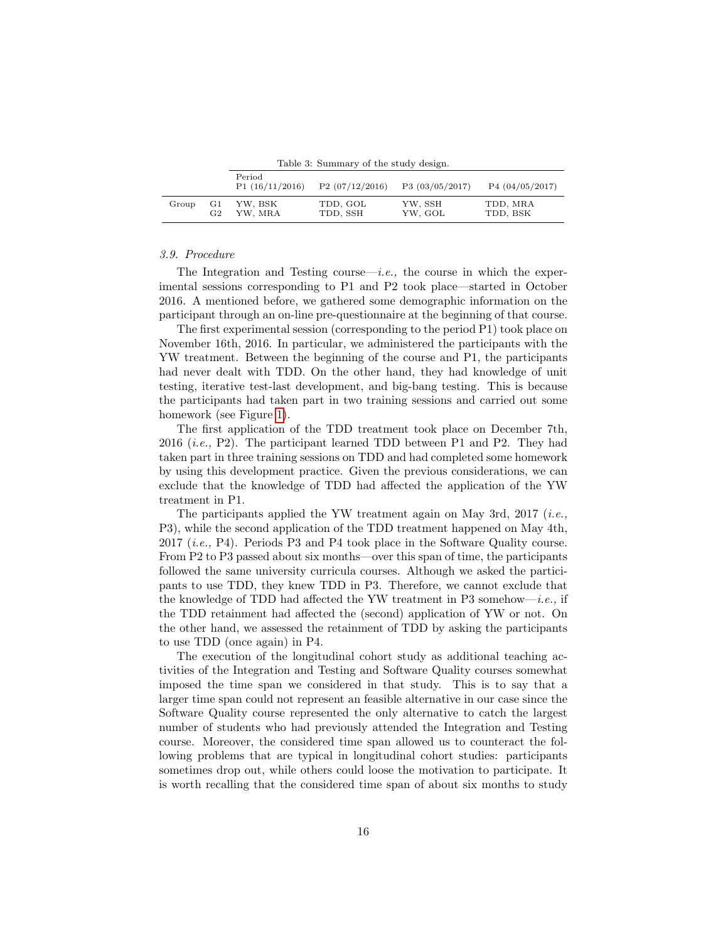<span id="page-15-0"></span>Table 3: Summary of the study design.

|       |    | Period<br>P1(16/11/2016) | P2(07/12/2016) | P3(03/05/2017) | P4(04/05/2017) |
|-------|----|--------------------------|----------------|----------------|----------------|
| Group | G1 | YW. BSK                  | TDD, GOL       | YW, SSH        | TDD, MRA       |
|       | G2 | YW. MRA                  | TDD, SSH       | YW, GOL        | TDD, BSK       |

# 3.9. Procedure

The Integration and Testing course—i.e., the course in which the experimental sessions corresponding to P1 and P2 took place—started in October 2016. A mentioned before, we gathered some demographic information on the participant through an on-line pre-questionnaire at the beginning of that course.

The first experimental session (corresponding to the period P1) took place on November 16th, 2016. In particular, we administered the participants with the YW treatment. Between the beginning of the course and P1, the participants had never dealt with TDD. On the other hand, they had knowledge of unit testing, iterative test-last development, and big-bang testing. This is because the participants had taken part in two training sessions and carried out some homework (see Figure [1\)](#page-5-1).

The first application of the TDD treatment took place on December 7th, 2016 (i.e., P2). The participant learned TDD between P1 and P2. They had taken part in three training sessions on TDD and had completed some homework by using this development practice. Given the previous considerations, we can exclude that the knowledge of TDD had affected the application of the YW treatment in P1.

The participants applied the YW treatment again on May 3rd, 2017 (*i.e.*, P3), while the second application of the TDD treatment happened on May 4th, 2017 (i.e., P4). Periods P3 and P4 took place in the Software Quality course. From P2 to P3 passed about six months—over this span of time, the participants followed the same university curricula courses. Although we asked the participants to use TDD, they knew TDD in P3. Therefore, we cannot exclude that the knowledge of TDD had affected the YW treatment in P3 somehow—*i.e.*, if the TDD retainment had affected the (second) application of YW or not. On the other hand, we assessed the retainment of TDD by asking the participants to use TDD (once again) in P4.

The execution of the longitudinal cohort study as additional teaching activities of the Integration and Testing and Software Quality courses somewhat imposed the time span we considered in that study. This is to say that a larger time span could not represent an feasible alternative in our case since the Software Quality course represented the only alternative to catch the largest number of students who had previously attended the Integration and Testing course. Moreover, the considered time span allowed us to counteract the following problems that are typical in longitudinal cohort studies: participants sometimes drop out, while others could loose the motivation to participate. It is worth recalling that the considered time span of about six months to study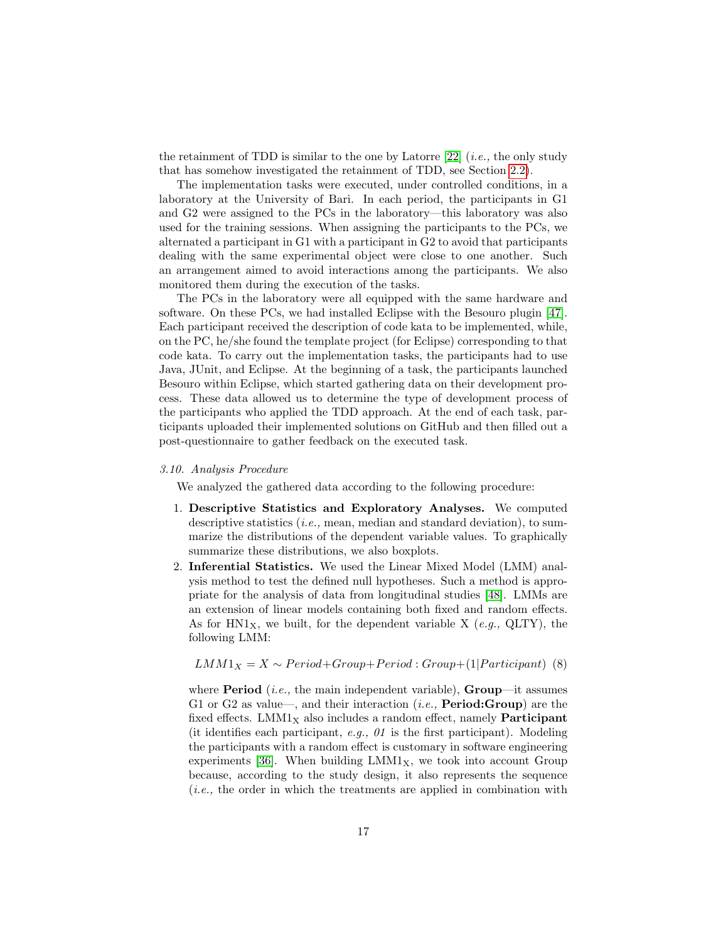the retainment of TDD is similar to the one by Latorre  $[22]$  (*i.e.*, the only study that has somehow investigated the retainment of TDD, see Section [2.2\)](#page-3-0).

The implementation tasks were executed, under controlled conditions, in a laboratory at the University of Bari. In each period, the participants in G1 and G2 were assigned to the PCs in the laboratory—this laboratory was also used for the training sessions. When assigning the participants to the PCs, we alternated a participant in G1 with a participant in G2 to avoid that participants dealing with the same experimental object were close to one another. Such an arrangement aimed to avoid interactions among the participants. We also monitored them during the execution of the tasks.

The PCs in the laboratory were all equipped with the same hardware and software. On these PCs, we had installed Eclipse with the Besouro plugin [\[47\]](#page-37-9). Each participant received the description of code kata to be implemented, while, on the PC, he/she found the template project (for Eclipse) corresponding to that code kata. To carry out the implementation tasks, the participants had to use Java, JUnit, and Eclipse. At the beginning of a task, the participants launched Besouro within Eclipse, which started gathering data on their development process. These data allowed us to determine the type of development process of the participants who applied the TDD approach. At the end of each task, participants uploaded their implemented solutions on GitHub and then filled out a post-questionnaire to gather feedback on the executed task.

## 3.10. Analysis Procedure

We analyzed the gathered data according to the following procedure:

- 1. Descriptive Statistics and Exploratory Analyses. We computed descriptive statistics  $(i.e.,$  mean, median and standard deviation), to summarize the distributions of the dependent variable values. To graphically summarize these distributions, we also boxplots.
- 2. Inferential Statistics. We used the Linear Mixed Model (LMM) analysis method to test the defined null hypotheses. Such a method is appropriate for the analysis of data from longitudinal studies [\[48\]](#page-38-0). LMMs are an extension of linear models containing both fixed and random effects. As for  $H N1_X$ , we built, for the dependent variable X (e.g., QLTY), the following LMM:

$$
LMM1_X = X \sim Period + Group + Period : Group + (1|Participant) (8)
$$

where **Period** (*i.e.*, the main independent variable), **Group**—it assumes G1 or G2 as value—, and their interaction (*i.e.*, **Period:Group**) are the fixed effects. LMM1 $_X$  also includes a random effect, namely **Participant** (it identifies each participant,  $e.g., 01$  is the first participant). Modeling the participants with a random effect is customary in software engineering experiments [\[36\]](#page-36-11). When building  $LMM1<sub>X</sub>$ , we took into account Group because, according to the study design, it also represents the sequence (i.e., the order in which the treatments are applied in combination with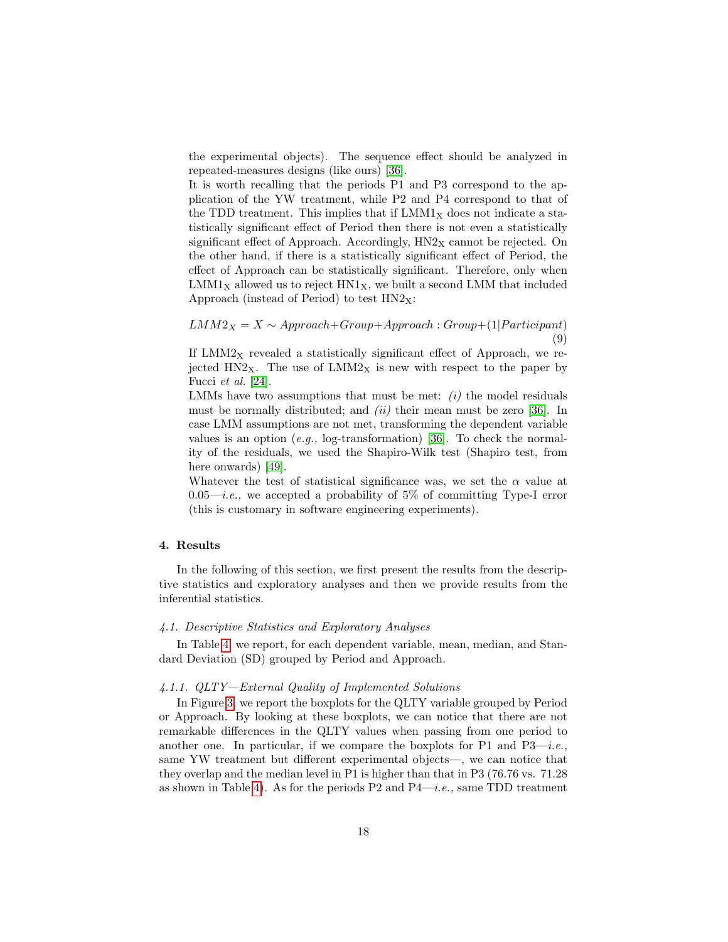the experimental objects). The sequence effect should be analyzed in repeated-measures designs (like ours) [\[36\]](#page-36-11).

It is worth recalling that the periods P1 and P3 correspond to the application of the YW treatment, while P2 and P4 correspond to that of the TDD treatment. This implies that if  $LMM1<sub>X</sub>$  does not indicate a statistically significant effect of Period then there is not even a statistically significant effect of Approach. Accordingly,  $HN2<sub>X</sub>$  cannot be rejected. On the other hand, if there is a statistically significant effect of Period, the effect of Approach can be statistically significant. Therefore, only when  $LMM1<sub>X</sub>$  allowed us to reject  $HN1<sub>X</sub>$ , we built a second LMM that included Approach (instead of Period) to test  $HN2_X$ :

 $LMM2<sub>X</sub> = X ~ \sim Approach + Group + Approach : Group + (1| Partitionant)$  $\left(9\right)$ 

If  $LMM2<sub>X</sub>$  revealed a statistically significant effect of Approach, we rejected  $HN2_X$ . The use of  $LMM2_X$  is new with respect to the paper by Fucci et al. [\[24\]](#page-35-11).

LMMs have two assumptions that must be met:  $(i)$  the model residuals must be normally distributed; and  $(ii)$  their mean must be zero [\[36\]](#page-36-11). In case LMM assumptions are not met, transforming the dependent variable values is an option  $(e.g., log-transformation)$  [\[36\]](#page-36-11). To check the normality of the residuals, we used the Shapiro-Wilk test (Shapiro test, from here onwards) [\[49\]](#page-38-1).

Whatever the test of statistical significance was, we set the  $\alpha$  value at  $0.05$ —*i.e.*, we accepted a probability of 5% of committing Type-I error (this is customary in software engineering experiments).

# <span id="page-17-0"></span>4. Results

In the following of this section, we first present the results from the descriptive statistics and exploratory analyses and then we provide results from the inferential statistics.

## 4.1. Descriptive Statistics and Exploratory Analyses

In Table [4,](#page-18-0) we report, for each dependent variable, mean, median, and Standard Deviation (SD) grouped by Period and Approach.

## 4.1.1. QLTY—External Quality of Implemented Solutions

In Figure [3,](#page-19-0) we report the boxplots for the QLTY variable grouped by Period or Approach. By looking at these boxplots, we can notice that there are not remarkable differences in the QLTY values when passing from one period to another one. In particular, if we compare the boxplots for P1 and P3—*i.e.*, same YW treatment but different experimental objects—, we can notice that they overlap and the median level in P1 is higher than that in P3 (76.76 vs. 71.28 as shown in Table [4\)](#page-18-0). As for the periods P2 and  $P4-i.e.,$  same TDD treatment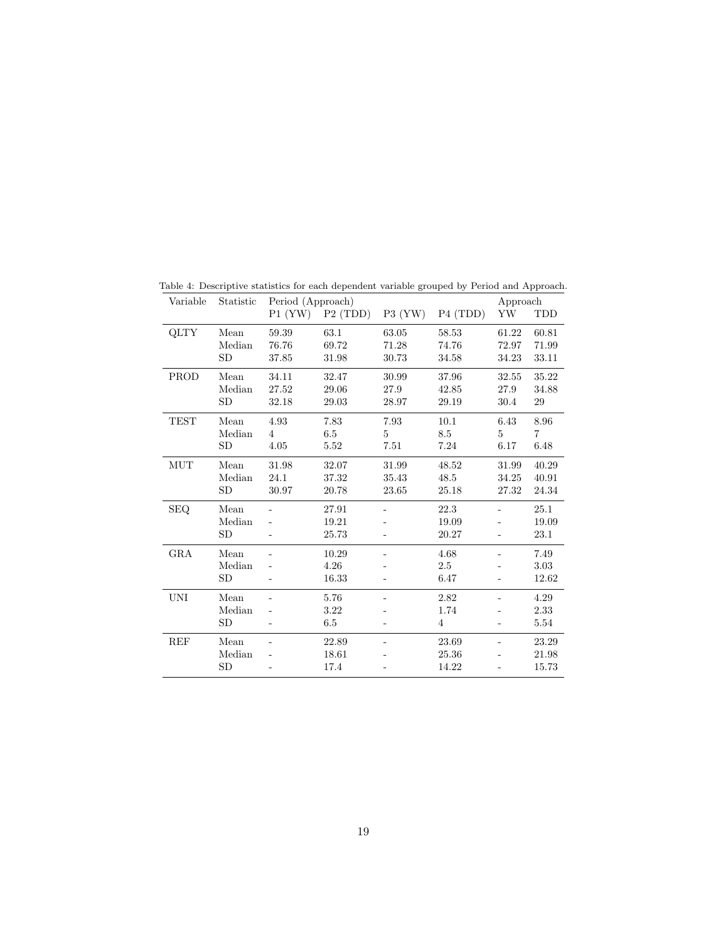<span id="page-18-0"></span>

| Variable    | Statistic | Period (Approach) |         |                          |                      |       | Approach |  |
|-------------|-----------|-------------------|---------|--------------------------|----------------------|-------|----------|--|
|             |           | P1 (YW)           | P2(TDD) | $P3$ (YW)                | P <sub>4</sub> (TDD) | YW    | TDD      |  |
| <b>QLTY</b> | Mean      | 59.39             | 63.1    | 63.05                    | 58.53                | 61.22 | 60.81    |  |
|             | Median    | 76.76             | 69.72   | 71.28                    | 74.76                | 72.97 | 71.99    |  |
|             | SD        | 37.85             | 31.98   | 30.73                    | 34.58                | 34.23 | 33.11    |  |
| PROD        | Mean      | 34.11             | 32.47   | 30.99                    | 37.96                | 32.55 | 35.22    |  |
|             | Median    | 27.52             | 29.06   | 27.9                     | 42.85                | 27.9  | 34.88    |  |
|             | SD        | 32.18             | 29.03   | 28.97                    | 29.19                | 30.4  | 29       |  |
| <b>TEST</b> | Mean      | 4.93              | 7.83    | 7.93                     | 10.1                 | 6.43  | 8.96     |  |
|             | Median    | $\overline{4}$    | 6.5     | 5                        | 8.5                  | 5     | 7        |  |
|             | SD        | 4.05              | 5.52    | 7.51                     | 7.24                 | 6.17  | 6.48     |  |
| MUT         | Mean      | 31.98             | 32.07   | 31.99                    | 48.52                | 31.99 | 40.29    |  |
|             | Median    | 24.1              | 37.32   | 35.43                    | 48.5                 | 34.25 | 40.91    |  |
|             | SD        | $30.97\,$         | 20.78   | 23.65                    | 25.18                | 27.32 | 24.34    |  |
| <b>SEQ</b>  | Mean      |                   | 27.91   |                          | 22.3                 |       | $25.1\,$ |  |
|             | Median    |                   | 19.21   |                          | 19.09                |       | 19.09    |  |
|             | <b>SD</b> |                   | 25.73   |                          | 20.27                |       | 23.1     |  |
| <b>GRA</b>  | Mean      |                   | 10.29   | ۰                        | 4.68                 | ä,    | 7.49     |  |
|             | Median    |                   | 4.26    |                          | 2.5                  |       | $3.03\,$ |  |
|             | <b>SD</b> |                   | 16.33   |                          | 6.47                 |       | 12.62    |  |
| <b>UNI</b>  | Mean      |                   | 5.76    |                          | 2.82                 |       | 4.29     |  |
|             | Median    |                   | 3.22    |                          | 1.74                 |       | 2.33     |  |
|             | SD        |                   | 6.5     |                          | $\overline{4}$       |       | 5.54     |  |
| REF         | Mean      |                   | 22.89   | $\overline{\phantom{0}}$ | 23.69                |       | 23.29    |  |
|             | Median    |                   | 18.61   |                          | 25.36                |       | 21.98    |  |
|             | SD        |                   | 17.4    |                          | 14.22                |       | 15.73    |  |

Table 4: Descriptive statistics for each dependent variable grouped by Period and Approach.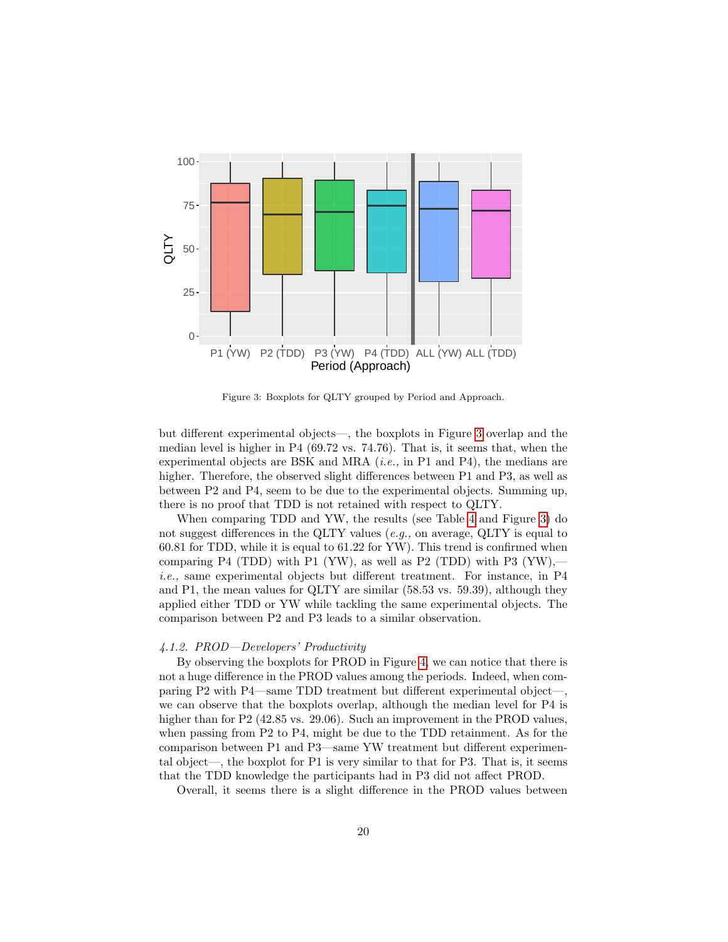

<span id="page-19-0"></span>Figure 3: Boxplots for QLTY grouped by Period and Approach.

but different experimental objects—, the boxplots in Figure [3](#page-19-0) overlap and the median level is higher in P4  $(69.72 \text{ vs. } 74.76)$ . That is, it seems that, when the experimental objects are BSK and MRA  $(i.e.,$  in P1 and P4), the medians are higher. Therefore, the observed slight differences between P1 and P3, as well as between P2 and P4, seem to be due to the experimental objects. Summing up, there is no proof that TDD is not retained with respect to QLTY.

When comparing TDD and YW, the results (see Table [4](#page-18-0) and Figure [3\)](#page-19-0) do not suggest differences in the QLTY values (*e.g.*, on average,  $\mathrm{QLTY}$  is equal to 60.81 for TDD, while it is equal to 61.22 for YW). This trend is confirmed when comparing P4 (TDD) with P1 (YW), as well as P2 (TDD) with P3 (YW), $$ i.e., same experimental objects but different treatment. For instance, in P4 and P1, the mean values for QLTY are similar (58.53 vs. 59.39), although they applied either TDD or YW while tackling the same experimental objects. The comparison between P2 and P3 leads to a similar observation.

## 4.1.2. PROD—Developers' Productivity

By observing the boxplots for PROD in Figure [4,](#page-20-0) we can notice that there is not a huge difference in the PROD values among the periods. Indeed, when comparing P2 with P4—same TDD treatment but different experimental object—, we can observe that the boxplots overlap, although the median level for P4 is higher than for P2 (42.85 vs. 29.06). Such an improvement in the PROD values, when passing from P2 to P4, might be due to the TDD retainment. As for the comparison between P1 and P3—same YW treatment but different experimental object—, the boxplot for P1 is very similar to that for P3. That is, it seems that the TDD knowledge the participants had in P3 did not affect PROD.

Overall, it seems there is a slight difference in the PROD values between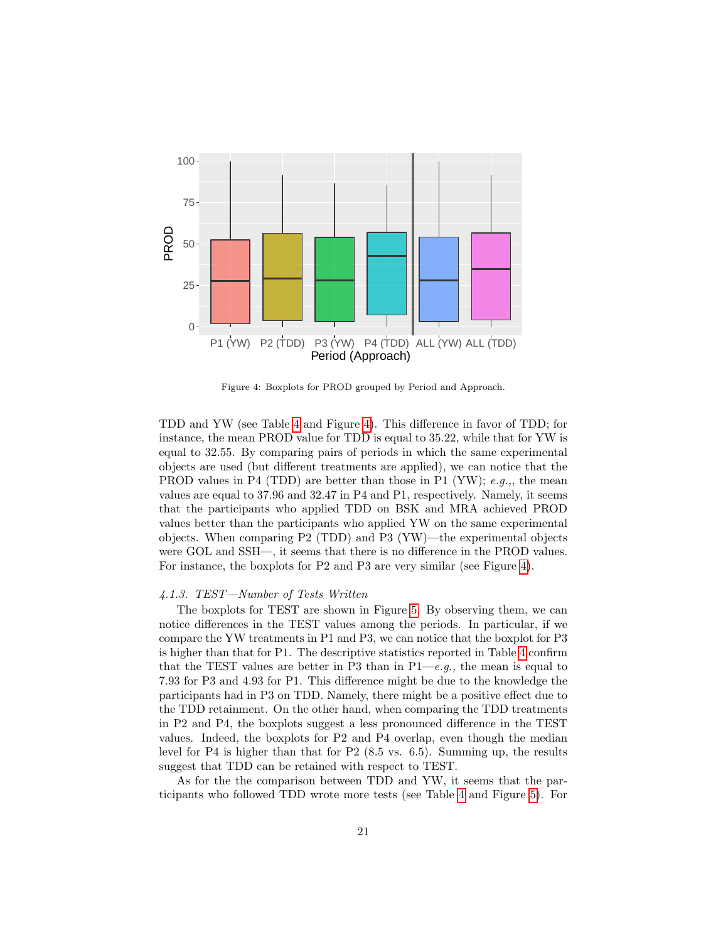

<span id="page-20-0"></span>Figure 4: Boxplots for PROD grouped by Period and Approach.

TDD and YW (see Table [4](#page-18-0) and Figure [4\)](#page-20-0). This difference in favor of TDD; for instance, the mean PROD value for TDD is equal to 35.22, while that for YW is equal to 32.55. By comparing pairs of periods in which the same experimental objects are used (but different treatments are applied), we can notice that the PROD values in P4 (TDD) are better than those in P1 (YW);  $e.g.,$ , the mean values are equal to 37.96 and 32.47 in P4 and P1, respectively. Namely, it seems that the participants who applied TDD on BSK and MRA achieved PROD values better than the participants who applied YW on the same experimental objects. When comparing  $P2$  (TDD) and  $P3$  (YW)—the experimental objects were GOL and SSH—, it seems that there is no difference in the PROD values. For instance, the boxplots for P2 and P3 are very similar (see Figure [4\)](#page-20-0).

#### 4.1.3. TEST—Number of Tests Written

The boxplots for TEST are shown in Figure [5.](#page-21-0) By observing them, we can notice differences in the TEST values among the periods. In particular, if we compare the YW treatments in P1 and P3, we can notice that the boxplot for P3 is higher than that for P1. The descriptive statistics reported in Table [4](#page-18-0) confirm that the TEST values are better in P3 than in  $P1-e.g.,$  the mean is equal to 7.93 for P3 and 4.93 for P1. This difference might be due to the knowledge the participants had in P3 on TDD. Namely, there might be a positive effect due to the TDD retainment. On the other hand, when comparing the TDD treatments in P2 and P4, the boxplots suggest a less pronounced difference in the TEST values. Indeed, the boxplots for P2 and P4 overlap, even though the median level for P4 is higher than that for P2 (8.5 vs. 6.5). Summing up, the results suggest that TDD can be retained with respect to TEST.

As for the the comparison between TDD and YW, it seems that the participants who followed TDD wrote more tests (see Table [4](#page-18-0) and Figure [5\)](#page-21-0). For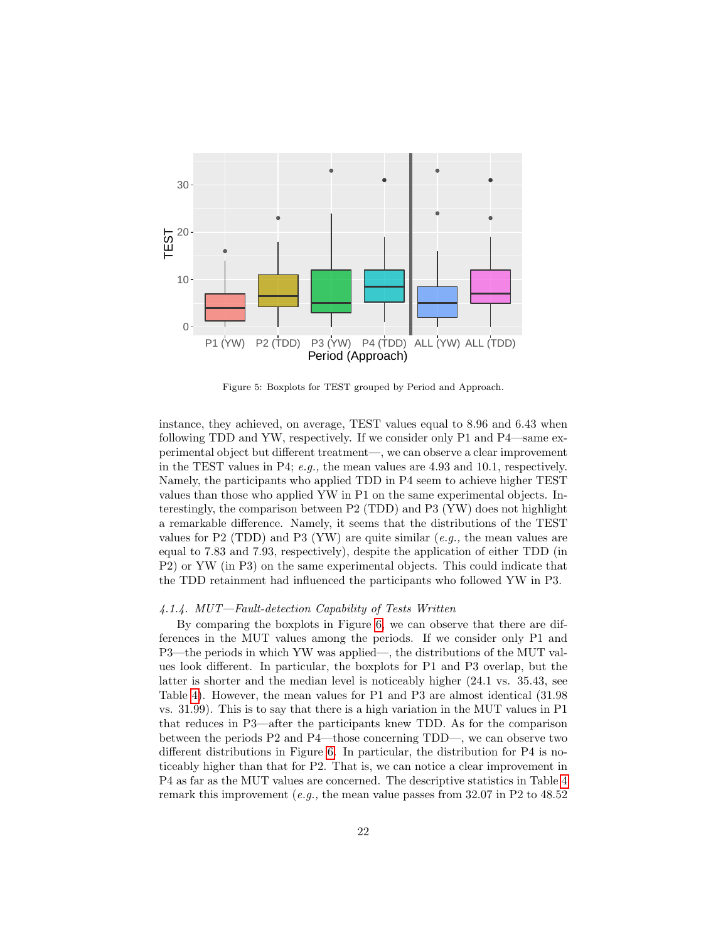

<span id="page-21-0"></span>Figure 5: Boxplots for TEST grouped by Period and Approach.

instance, they achieved, on average, TEST values equal to 8.96 and 6.43 when following TDD and YW, respectively. If we consider only P1 and P4—same experimental object but different treatment—, we can observe a clear improvement in the TEST values in P4; e.g., the mean values are  $4.93$  and  $10.1$ , respectively. Namely, the participants who applied TDD in P4 seem to achieve higher TEST values than those who applied YW in P1 on the same experimental objects. Interestingly, the comparison between P2 (TDD) and P3 (YW) does not highlight a remarkable difference. Namely, it seems that the distributions of the TEST values for P2 (TDD) and P3 (YW) are quite similar  $(e.q.,$  the mean values are equal to 7.83 and 7.93, respectively), despite the application of either TDD (in P2) or YW (in P3) on the same experimental objects. This could indicate that the TDD retainment had influenced the participants who followed YW in P3.

#### 4.1.4. MUT—Fault-detection Capability of Tests Written

By comparing the boxplots in Figure [6,](#page-22-0) we can observe that there are differences in the MUT values among the periods. If we consider only P1 and P3—the periods in which YW was applied—, the distributions of the MUT values look different. In particular, the boxplots for P1 and P3 overlap, but the latter is shorter and the median level is noticeably higher (24.1 vs. 35.43, see Table [4\)](#page-18-0). However, the mean values for P1 and P3 are almost identical (31.98 vs. 31.99). This is to say that there is a high variation in the MUT values in P1 that reduces in P3—after the participants knew TDD. As for the comparison between the periods P2 and P4—those concerning TDD—, we can observe two different distributions in Figure [6.](#page-22-0) In particular, the distribution for P4 is noticeably higher than that for P2. That is, we can notice a clear improvement in P4 as far as the MUT values are concerned. The descriptive statistics in Table [4](#page-18-0) remark this improvement  $(e.g.,\,$  the mean value passes from 32.07 in P2 to 48.52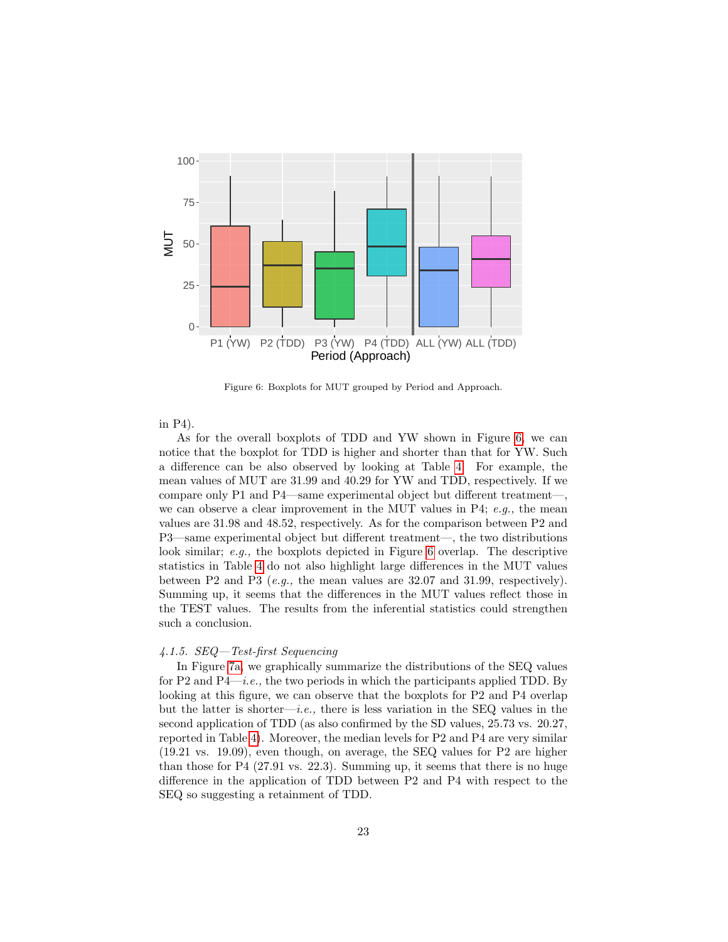

<span id="page-22-0"></span>Figure 6: Boxplots for MUT grouped by Period and Approach.

in P4).

As for the overall boxplots of TDD and YW shown in Figure [6,](#page-22-0) we can notice that the boxplot for TDD is higher and shorter than that for YW. Such a difference can be also observed by looking at Table [4.](#page-18-0) For example, the mean values of MUT are 31.99 and 40.29 for YW and TDD, respectively. If we compare only P1 and P4—same experimental object but different treatment—, we can observe a clear improvement in the MUT values in P4;  $e.g.,$  the mean values are 31.98 and 48.52, respectively. As for the comparison between P2 and P3—same experimental object but different treatment—, the two distributions look similar; e.g., the boxplots depicted in Figure [6](#page-22-0) overlap. The descriptive statistics in Table [4](#page-18-0) do not also highlight large differences in the MUT values between P2 and P3 (e.g., the mean values are  $32.07$  and  $31.99$ , respectively). Summing up, it seems that the differences in the MUT values reflect those in the TEST values. The results from the inferential statistics could strengthen such a conclusion.

#### 4.1.5. SEQ—Test-first Sequencing

In Figure [7a,](#page-23-0) we graphically summarize the distributions of the SEQ values for P2 and P4—*i.e.*, the two periods in which the participants applied TDD. By looking at this figure, we can observe that the boxplots for P2 and P4 overlap but the latter is shorter—i.e., there is less variation in the SEQ values in the second application of TDD (as also confirmed by the SD values, 25.73 vs. 20.27, reported in Table [4\)](#page-18-0). Moreover, the median levels for P2 and P4 are very similar (19.21 vs. 19.09), even though, on average, the SEQ values for P2 are higher than those for P4 (27.91 vs. 22.3). Summing up, it seems that there is no huge difference in the application of TDD between P2 and P4 with respect to the SEQ so suggesting a retainment of TDD.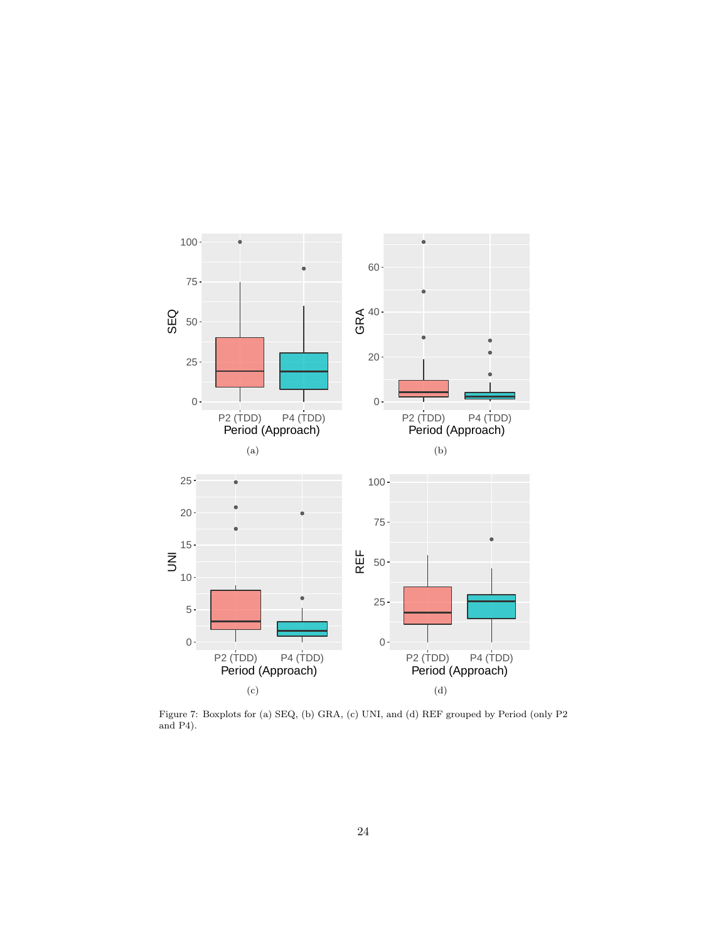<span id="page-23-2"></span><span id="page-23-1"></span><span id="page-23-0"></span>

<span id="page-23-3"></span>Figure 7: Boxplots for (a) SEQ, (b) GRA, (c) UNI, and (d) REF grouped by Period (only P2 and P4).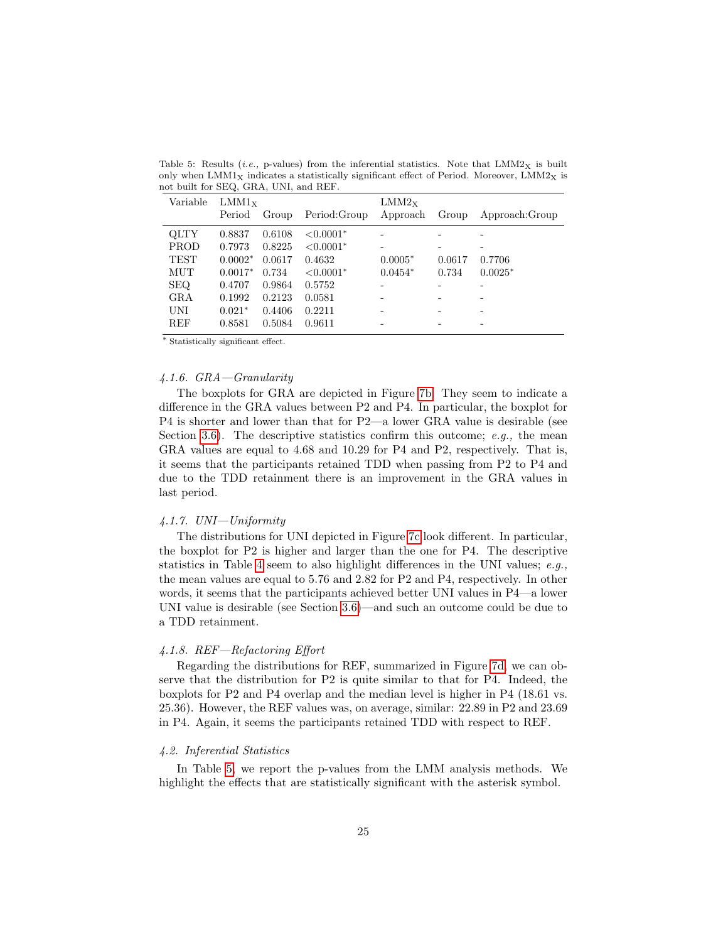| Variable    | LMM1x<br>Period | Group  | Period: Group | LMM2x<br>Approach | Group  | Approach: Group |
|-------------|-----------------|--------|---------------|-------------------|--------|-----------------|
| <b>OLTY</b> | 0.8837          | 0.6108 | $< 0.0001*$   |                   |        |                 |
| PROD        | 0.7973          | 0.8225 | $< 0.0001*$   |                   |        |                 |
| <b>TEST</b> | $0.0002*$       | 0.0617 | 0.4632        | $0.0005*$         | 0.0617 | 0.7706          |
| MUT         | $0.0017*$       | 0.734  | $< 0.0001*$   | $0.0454*$         | 0.734  | $0.0025*$       |
| <b>SEQ</b>  | 0.4707          | 0.9864 | 0.5752        |                   |        |                 |
| GRA         | 0.1992          | 0.2123 | 0.0581        |                   |        |                 |
| UNI         | $0.021*$        | 0.4406 | 0.2211        |                   |        |                 |
| REF         | 0.8581          | 0.5084 | 0.9611        |                   |        | -               |

<span id="page-24-0"></span>Table 5: Results (*i.e.*, p-values) from the inferential statistics. Note that  $LMM2<sub>X</sub>$  is built only when  $LMM1_X$  indicates a statistically significant effect of Period. Moreover,  $LMM2_X$  is not built for SEQ, GRA, UNI, and REF.

<sup>∗</sup> Statistically significant effect.

## 4.1.6. GRA—Granularity

The boxplots for GRA are depicted in Figure [7b.](#page-23-1) They seem to indicate a difference in the GRA values between P2 and P4. In particular, the boxplot for P4 is shorter and lower than that for P2—a lower GRA value is desirable (see Section [3.6\)](#page-11-0). The descriptive statistics confirm this outcome;  $e, q, \, t$  he mean GRA values are equal to 4.68 and 10.29 for P4 and P2, respectively. That is, it seems that the participants retained TDD when passing from P2 to P4 and due to the TDD retainment there is an improvement in the GRA values in last period.

#### 4.1.7. UNI—Uniformity

The distributions for UNI depicted in Figure [7c](#page-23-2) look different. In particular, the boxplot for P2 is higher and larger than the one for P4. The descriptive statistics in Table [4](#page-18-0) seem to also highlight differences in the UNI values;  $e.g.,$ the mean values are equal to 5.76 and 2.82 for P2 and P4, respectively. In other words, it seems that the participants achieved better UNI values in P4—a lower UNI value is desirable (see Section [3.6\)](#page-11-0)—and such an outcome could be due to a TDD retainment.

## 4.1.8. REF—Refactoring Effort

Regarding the distributions for REF, summarized in Figure [7d,](#page-23-3) we can observe that the distribution for P2 is quite similar to that for P4. Indeed, the boxplots for P2 and P4 overlap and the median level is higher in P4 (18.61 vs. 25.36). However, the REF values was, on average, similar: 22.89 in P2 and 23.69 in P4. Again, it seems the participants retained TDD with respect to REF.

## 4.2. Inferential Statistics

In Table [5,](#page-24-0) we report the p-values from the LMM analysis methods. We highlight the effects that are statistically significant with the asterisk symbol.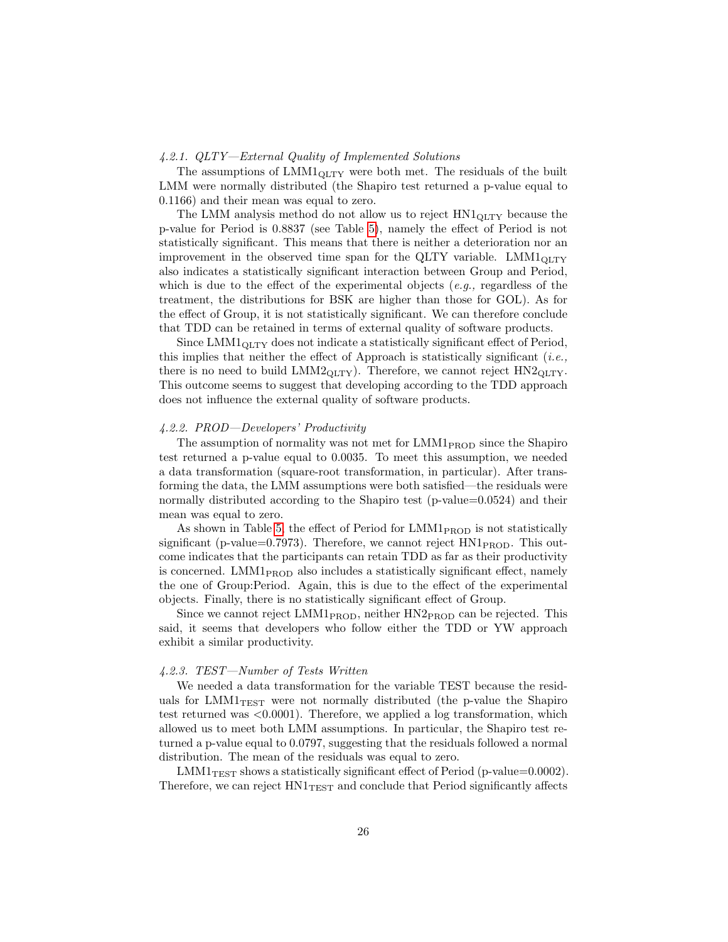#### 4.2.1. QLTY—External Quality of Implemented Solutions

The assumptions of  $LMM1_{\text{OLTY}}$  were both met. The residuals of the built LMM were normally distributed (the Shapiro test returned a p-value equal to 0.1166) and their mean was equal to zero.

The LMM analysis method do not allow us to reject  $HNI<sub>OLTY</sub>$  because the p-value for Period is 0.8837 (see Table [5\)](#page-24-0), namely the effect of Period is not statistically significant. This means that there is neither a deterioration nor an improvement in the observed time span for the QLTY variable.  $LMM1<sub>QLTY</sub>$ also indicates a statistically significant interaction between Group and Period, which is due to the effect of the experimental objects  $(e.g.,$  regardless of the treatment, the distributions for BSK are higher than those for GOL). As for the effect of Group, it is not statistically significant. We can therefore conclude that TDD can be retained in terms of external quality of software products.

Since  $LMM1_{\text{OLTY}}$  does not indicate a statistically significant effect of Period, this implies that neither the effect of Approach is statistically significant (*i.e.*, there is no need to build  $LMM2_{QLTY}$ . Therefore, we cannot reject  $HN2_{QLTY}$ . This outcome seems to suggest that developing according to the TDD approach does not influence the external quality of software products.

#### 4.2.2. PROD—Developers' Productivity

The assumption of normality was not met for LMM1<sub>PROD</sub> since the Shapiro test returned a p-value equal to 0.0035. To meet this assumption, we needed a data transformation (square-root transformation, in particular). After transforming the data, the LMM assumptions were both satisfied—the residuals were normally distributed according to the Shapiro test (p-value=0.0524) and their mean was equal to zero.

As shown in Table [5,](#page-24-0) the effect of Period for  $\text{LMM1}_{\text{PROD}}$  is not statistically significant (p-value=0.7973). Therefore, we cannot reject  $HN1_{PROD}$ . This outcome indicates that the participants can retain TDD as far as their productivity is concerned. LMM1 $_{\text{PROD}}$  also includes a statistically significant effect, namely the one of Group:Period. Again, this is due to the effect of the experimental objects. Finally, there is no statistically significant effect of Group.

Since we cannot reject  $LMM1_{PROD}$ , neither  $HN2_{PROD}$  can be rejected. This said, it seems that developers who follow either the TDD or YW approach exhibit a similar productivity.

#### 4.2.3. TEST—Number of Tests Written

We needed a data transformation for the variable TEST because the residuals for  $LMM1_{TEST}$  were not normally distributed (the p-value the Shapiro test returned was  $\langle 0.0001 \rangle$ . Therefore, we applied a log transformation, which allowed us to meet both LMM assumptions. In particular, the Shapiro test returned a p-value equal to 0.0797, suggesting that the residuals followed a normal distribution. The mean of the residuals was equal to zero.

 $LMM1_{TEST}$  shows a statistically significant effect of Period (p-value=0.0002). Therefore, we can reject  $HNI<sub>TEST</sub>$  and conclude that Period significantly affects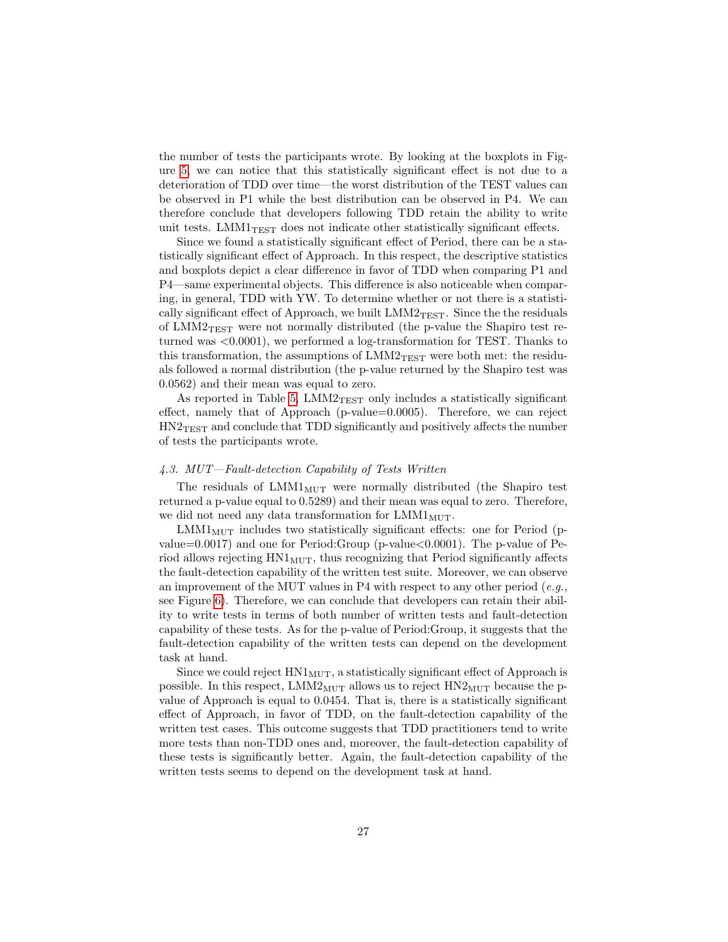the number of tests the participants wrote. By looking at the boxplots in Figure [5,](#page-21-0) we can notice that this statistically significant effect is not due to a deterioration of TDD over time—the worst distribution of the TEST values can be observed in P1 while the best distribution can be observed in P4. We can therefore conclude that developers following TDD retain the ability to write unit tests.  $LMM1_{TEST}$  does not indicate other statistically significant effects.

Since we found a statistically significant effect of Period, there can be a statistically significant effect of Approach. In this respect, the descriptive statistics and boxplots depict a clear difference in favor of TDD when comparing P1 and P4—same experimental objects. This difference is also noticeable when comparing, in general, TDD with YW. To determine whether or not there is a statistically significant effect of Approach, we built  $LMM2_{TEST}$ . Since the the residuals of  $LMM2_{TEST}$  were not normally distributed (the p-value the Shapiro test returned was  $\langle 0.0001 \rangle$ , we performed a log-transformation for TEST. Thanks to this transformation, the assumptions of  $LMM2_{TEST}$  were both met: the residuals followed a normal distribution (the p-value returned by the Shapiro test was 0.0562) and their mean was equal to zero.

As reported in Table [5,](#page-24-0)  $LMM2_{TEST}$  only includes a statistically significant effect, namely that of Approach (p-value=0.0005). Therefore, we can reject HN2TEST and conclude that TDD significantly and positively affects the number of tests the participants wrote.

## 4.3. MUT—Fault-detection Capability of Tests Written

The residuals of  $LMM1<sub>MUT</sub>$  were normally distributed (the Shapiro test returned a p-value equal to 0.5289) and their mean was equal to zero. Therefore, we did not need any data transformation for  $LMM1<sub>MUT</sub>$ .

 $LMM1_{MUT}$  includes two statistically significant effects: one for Period (pvalue=0.0017) and one for Period:Group (p-value  $<0.0001$ ). The p-value of Period allows rejecting  $HN1_{MUT}$ , thus recognizing that Period significantly affects the fault-detection capability of the written test suite. Moreover, we can observe an improvement of the MUT values in P4 with respect to any other period  $(e.q.,$ see Figure [6\)](#page-22-0). Therefore, we can conclude that developers can retain their ability to write tests in terms of both number of written tests and fault-detection capability of these tests. As for the p-value of Period:Group, it suggests that the fault-detection capability of the written tests can depend on the development task at hand.

Since we could reject  $HNI_{\text{MUT}}$ , a statistically significant effect of Approach is possible. In this respect,  $LMM2_{MUT}$  allows us to reject  $HN2_{MUT}$  because the pvalue of Approach is equal to 0.0454. That is, there is a statistically significant effect of Approach, in favor of TDD, on the fault-detection capability of the written test cases. This outcome suggests that TDD practitioners tend to write more tests than non-TDD ones and, moreover, the fault-detection capability of these tests is significantly better. Again, the fault-detection capability of the written tests seems to depend on the development task at hand.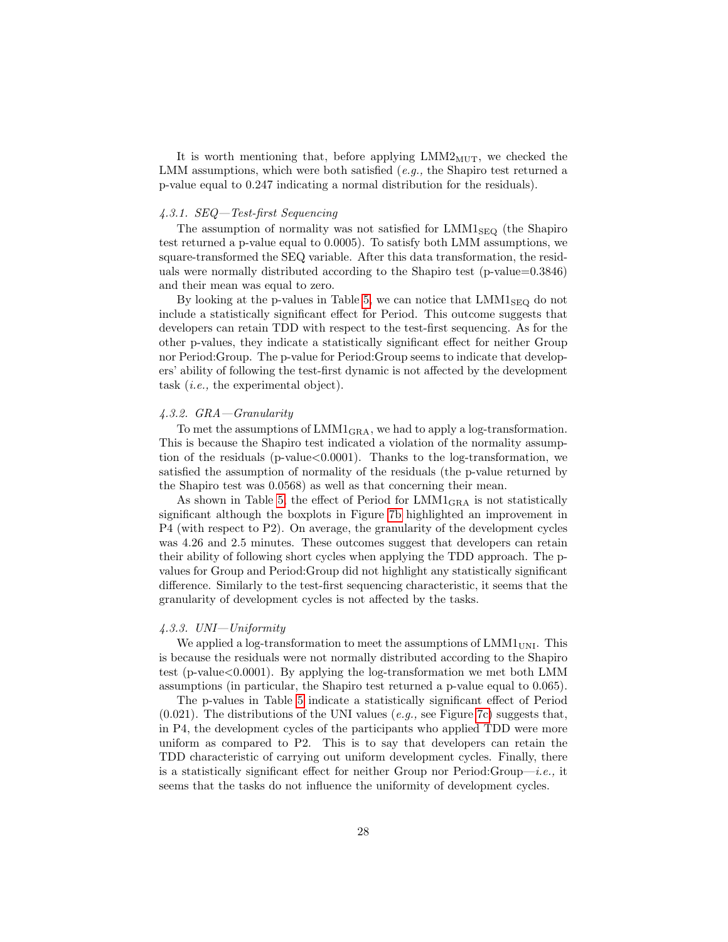It is worth mentioning that, before applying  $LMM2<sub>MUT</sub>$ , we checked the LMM assumptions, which were both satisfied  $(e.g., the Shapiro test returned a$ p-value equal to 0.247 indicating a normal distribution for the residuals).

#### 4.3.1. SEQ—Test-first Sequencing

The assumption of normality was not satisfied for  $LMM1_{SEQ}$  (the Shapiro test returned a p-value equal to 0.0005). To satisfy both LMM assumptions, we square-transformed the SEQ variable. After this data transformation, the residuals were normally distributed according to the Shapiro test (p-value=0.3846) and their mean was equal to zero.

By looking at the p-values in Table [5,](#page-24-0) we can notice that  $LMM1_{\text{SEQ}}$  do not include a statistically significant effect for Period. This outcome suggests that developers can retain TDD with respect to the test-first sequencing. As for the other p-values, they indicate a statistically significant effect for neither Group nor Period:Group. The p-value for Period:Group seems to indicate that developers' ability of following the test-first dynamic is not affected by the development task (i.e., the experimental object).

#### 4.3.2. GRA—Granularity

To met the assumptions of  $LMM1_{\text{GRA}}$ , we had to apply a log-transformation. This is because the Shapiro test indicated a violation of the normality assumption of the residuals ( $p$ -value $<0.0001$ ). Thanks to the log-transformation, we satisfied the assumption of normality of the residuals (the p-value returned by the Shapiro test was 0.0568) as well as that concerning their mean.

As shown in Table [5,](#page-24-0) the effect of Period for LMM1GRA is not statistically significant although the boxplots in Figure [7b](#page-23-1) highlighted an improvement in P4 (with respect to P2). On average, the granularity of the development cycles was 4.26 and 2.5 minutes. These outcomes suggest that developers can retain their ability of following short cycles when applying the TDD approach. The pvalues for Group and Period:Group did not highlight any statistically significant difference. Similarly to the test-first sequencing characteristic, it seems that the granularity of development cycles is not affected by the tasks.

## 4.3.3. UNI—Uniformity

We applied a log-transformation to meet the assumptions of  $LMMI_{UNI}$ . This is because the residuals were not normally distributed according to the Shapiro test (p-value $< 0.0001$ ). By applying the log-transformation we met both LMM assumptions (in particular, the Shapiro test returned a p-value equal to 0.065).

The p-values in Table [5](#page-24-0) indicate a statistically significant effect of Period  $(0.021)$ . The distributions of the UNI values  $(e.g.,\sec$  Figure [7c\)](#page-23-2) suggests that, in P4, the development cycles of the participants who applied TDD were more uniform as compared to P2. This is to say that developers can retain the TDD characteristic of carrying out uniform development cycles. Finally, there is a statistically significant effect for neither Group nor Period:Group—i.e., it seems that the tasks do not influence the uniformity of development cycles.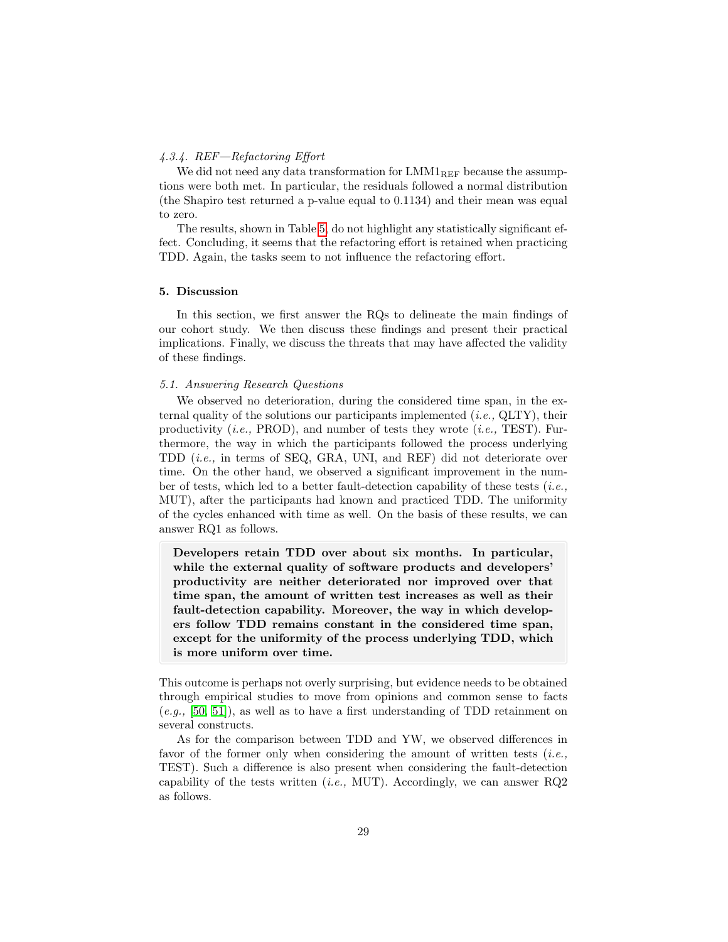# 4.3.4. REF—Refactoring Effort

We did not need any data transformation for  $LMM1_{REF}$  because the assumptions were both met. In particular, the residuals followed a normal distribution (the Shapiro test returned a p-value equal to 0.1134) and their mean was equal to zero.

The results, shown in Table [5,](#page-24-0) do not highlight any statistically significant effect. Concluding, it seems that the refactoring effort is retained when practicing TDD. Again, the tasks seem to not influence the refactoring effort.

#### <span id="page-28-0"></span>5. Discussion

In this section, we first answer the RQs to delineate the main findings of our cohort study. We then discuss these findings and present their practical implications. Finally, we discuss the threats that may have affected the validity of these findings.

# 5.1. Answering Research Questions

We observed no deterioration, during the considered time span, in the external quality of the solutions our participants implemented  $(i.e., \text{QITY})$ , their productivity  $(i.e., PROD)$ , and number of tests they wrote  $(i.e., TEST)$ . Furthermore, the way in which the participants followed the process underlying TDD (i.e., in terms of SEQ, GRA, UNI, and REF) did not deteriorate over time. On the other hand, we observed a significant improvement in the number of tests, which led to a better fault-detection capability of these tests (*i.e.*, MUT), after the participants had known and practiced TDD. The uniformity of the cycles enhanced with time as well. On the basis of these results, we can answer RQ1 as follows.

Developers retain TDD over about six months. In particular, while the external quality of software products and developers' productivity are neither deteriorated nor improved over that time span, the amount of written test increases as well as their fault-detection capability. Moreover, the way in which developers follow TDD remains constant in the considered time span, except for the uniformity of the process underlying TDD, which is more uniform over time.

This outcome is perhaps not overly surprising, but evidence needs to be obtained through empirical studies to move from opinions and common sense to facts  $(e.g., [50, 51])$  $(e.g., [50, 51])$  $(e.g., [50, 51])$  $(e.g., [50, 51])$ , as well as to have a first understanding of TDD retainment on several constructs.

As for the comparison between TDD and YW, we observed differences in favor of the former only when considering the amount of written tests  $(i.e.,$ TEST). Such a difference is also present when considering the fault-detection capability of the tests written (*i.e.*, MUT). Accordingly, we can answer  $RQ2$ as follows.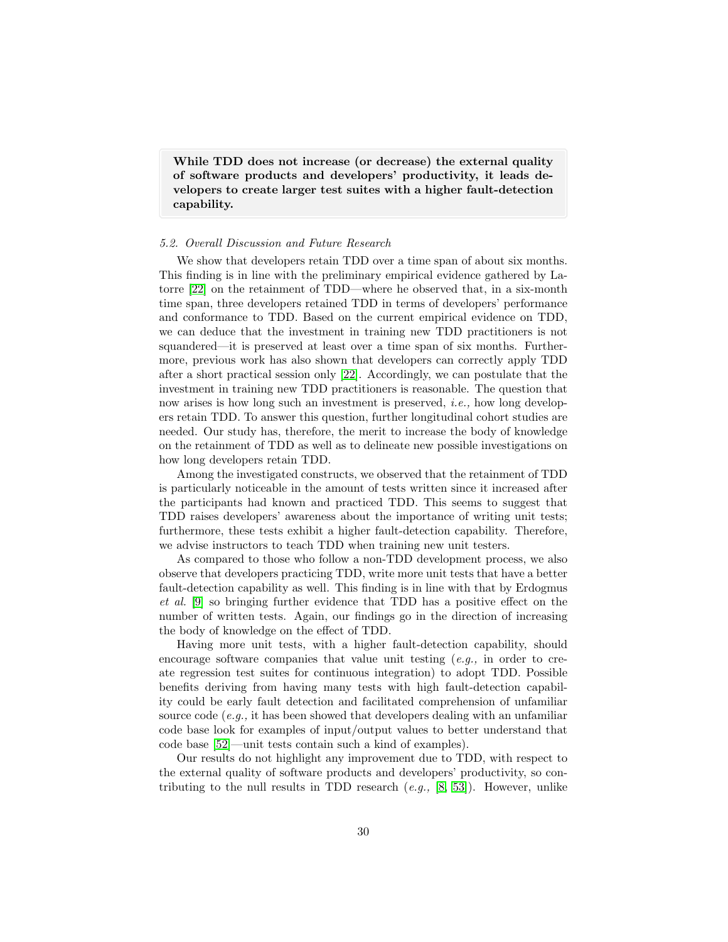While TDD does not increase (or decrease) the external quality of software products and developers' productivity, it leads developers to create larger test suites with a higher fault-detection capability.

## 5.2. Overall Discussion and Future Research

We show that developers retain TDD over a time span of about six months. This finding is in line with the preliminary empirical evidence gathered by Latorre [\[22\]](#page-35-9) on the retainment of TDD—where he observed that, in a six-month time span, three developers retained TDD in terms of developers' performance and conformance to TDD. Based on the current empirical evidence on TDD, we can deduce that the investment in training new TDD practitioners is not squandered—it is preserved at least over a time span of six months. Furthermore, previous work has also shown that developers can correctly apply TDD after a short practical session only [\[22\]](#page-35-9). Accordingly, we can postulate that the investment in training new TDD practitioners is reasonable. The question that now arises is how long such an investment is preserved, i.e., how long developers retain TDD. To answer this question, further longitudinal cohort studies are needed. Our study has, therefore, the merit to increase the body of knowledge on the retainment of TDD as well as to delineate new possible investigations on how long developers retain TDD.

Among the investigated constructs, we observed that the retainment of TDD is particularly noticeable in the amount of tests written since it increased after the participants had known and practiced TDD. This seems to suggest that TDD raises developers' awareness about the importance of writing unit tests; furthermore, these tests exhibit a higher fault-detection capability. Therefore, we advise instructors to teach TDD when training new unit testers.

As compared to those who follow a non-TDD development process, we also observe that developers practicing TDD, write more unit tests that have a better fault-detection capability as well. This finding is in line with that by Erdogmus et al. [\[9\]](#page-34-7) so bringing further evidence that TDD has a positive effect on the number of written tests. Again, our findings go in the direction of increasing the body of knowledge on the effect of TDD.

Having more unit tests, with a higher fault-detection capability, should encourage software companies that value unit testing  $(e, q, \cdot)$  in order to create regression test suites for continuous integration) to adopt TDD. Possible benefits deriving from having many tests with high fault-detection capability could be early fault detection and facilitated comprehension of unfamiliar source code (e.g., it has been showed that developers dealing with an unfamiliar code base look for examples of input/output values to better understand that code base [\[52\]](#page-38-4)—unit tests contain such a kind of examples).

Our results do not highlight any improvement due to TDD, with respect to the external quality of software products and developers' productivity, so contributing to the null results in TDD research  $(e.g., [8, 53])$  $(e.g., [8, 53])$  $(e.g., [8, 53])$  $(e.g., [8, 53])$ . However, unlike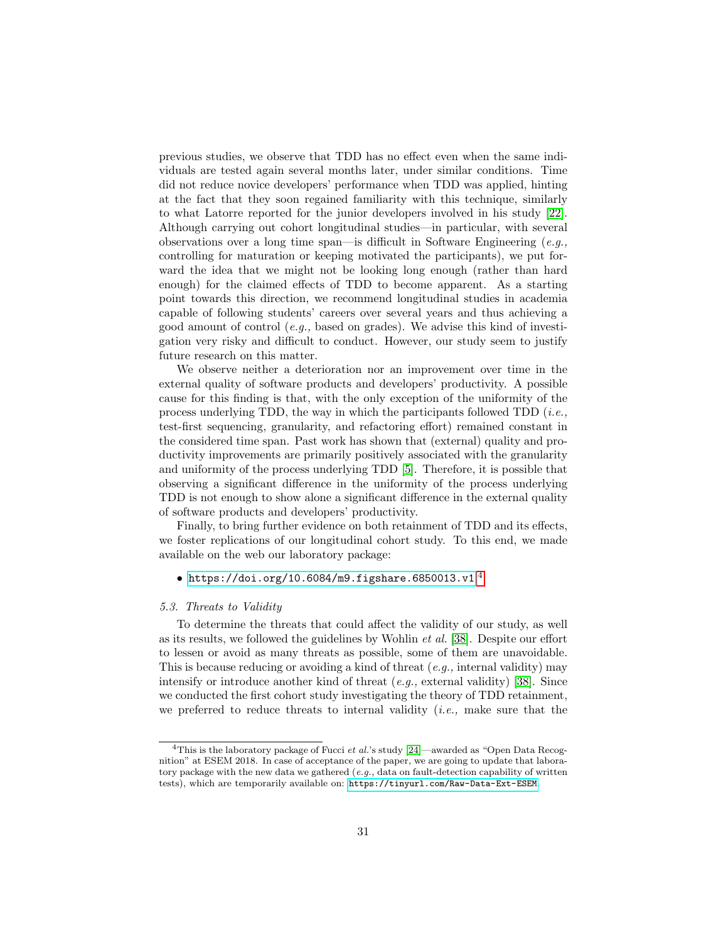previous studies, we observe that TDD has no effect even when the same individuals are tested again several months later, under similar conditions. Time did not reduce novice developers' performance when TDD was applied, hinting at the fact that they soon regained familiarity with this technique, similarly to what Latorre reported for the junior developers involved in his study [\[22\]](#page-35-9). Although carrying out cohort longitudinal studies—in particular, with several observations over a long time span—is difficult in Software Engineering  $(e.g.,$ controlling for maturation or keeping motivated the participants), we put forward the idea that we might not be looking long enough (rather than hard enough) for the claimed effects of TDD to become apparent. As a starting point towards this direction, we recommend longitudinal studies in academia capable of following students' careers over several years and thus achieving a good amount of control (e.g., based on grades). We advise this kind of investigation very risky and difficult to conduct. However, our study seem to justify future research on this matter.

We observe neither a deterioration nor an improvement over time in the external quality of software products and developers' productivity. A possible cause for this finding is that, with the only exception of the uniformity of the process underlying TDD, the way in which the participants followed TDD  $(i.e.,$ test-first sequencing, granularity, and refactoring effort) remained constant in the considered time span. Past work has shown that (external) quality and productivity improvements are primarily positively associated with the granularity and uniformity of the process underlying TDD [\[5\]](#page-34-3). Therefore, it is possible that observing a significant difference in the uniformity of the process underlying TDD is not enough to show alone a significant difference in the external quality of software products and developers' productivity.

Finally, to bring further evidence on both retainment of TDD and its effects, we foster replications of our longitudinal cohort study. To this end, we made available on the web our laboratory package:

# $\bullet$  <https://doi.org/10.6084/m9.figshare.6850013.v1>.<sup>[4](#page-30-0)</sup>

## 5.3. Threats to Validity

To determine the threats that could affect the validity of our study, as well as its results, we followed the guidelines by Wohlin et al. [\[38\]](#page-37-1). Despite our effort to lessen or avoid as many threats as possible, some of them are unavoidable. This is because reducing or avoiding a kind of threat  $(e.g.,$  internal validity) may intensify or introduce another kind of threat  $(e.q.,$  external validity) [\[38\]](#page-37-1). Since we conducted the first cohort study investigating the theory of TDD retainment, we preferred to reduce threats to internal validity  $(i.e.,$  make sure that the

<span id="page-30-0"></span><sup>&</sup>lt;sup>4</sup>This is the laboratory package of Fucci et al.'s study  $[24]$ —awarded as "Open Data Recognition" at ESEM 2018. In case of acceptance of the paper, we are going to update that laboratory package with the new data we gathered  $(e.g.,\text{ data on fault-detection capability of written})$ tests), which are temporarily available on: <https://tinyurl.com/Raw-Data-Ext-ESEM>.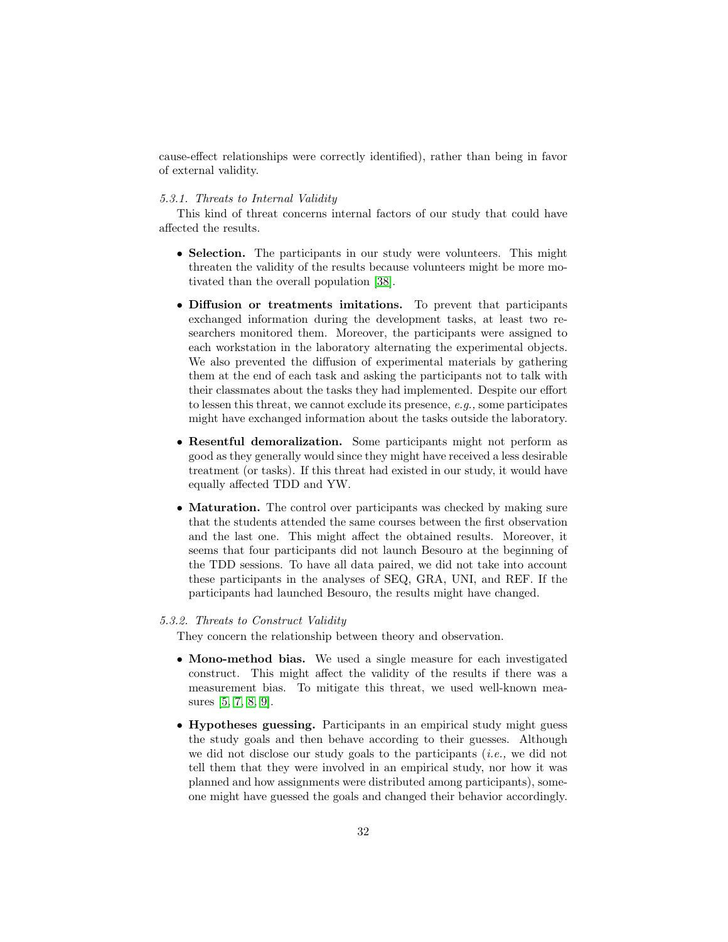cause-effect relationships were correctly identified), rather than being in favor of external validity.

# <span id="page-31-0"></span>5.3.1. Threats to Internal Validity

This kind of threat concerns internal factors of our study that could have affected the results.

- Selection. The participants in our study were volunteers. This might threaten the validity of the results because volunteers might be more motivated than the overall population [\[38\]](#page-37-1).
- Diffusion or treatments imitations. To prevent that participants exchanged information during the development tasks, at least two researchers monitored them. Moreover, the participants were assigned to each workstation in the laboratory alternating the experimental objects. We also prevented the diffusion of experimental materials by gathering them at the end of each task and asking the participants not to talk with their classmates about the tasks they had implemented. Despite our effort to lessen this threat, we cannot exclude its presence, e.g., some participates might have exchanged information about the tasks outside the laboratory.
- Resentful demoralization. Some participants might not perform as good as they generally would since they might have received a less desirable treatment (or tasks). If this threat had existed in our study, it would have equally affected TDD and YW.
- **Maturation.** The control over participants was checked by making sure that the students attended the same courses between the first observation and the last one. This might affect the obtained results. Moreover, it seems that four participants did not launch Besouro at the beginning of the TDD sessions. To have all data paired, we did not take into account these participants in the analyses of SEQ, GRA, UNI, and REF. If the participants had launched Besouro, the results might have changed.

## 5.3.2. Threats to Construct Validity

They concern the relationship between theory and observation.

- Mono-method bias. We used a single measure for each investigated construct. This might affect the validity of the results if there was a measurement bias. To mitigate this threat, we used well-known measures [\[5,](#page-34-3) [7,](#page-34-5) [8,](#page-34-6) [9\]](#page-34-7).
- Hypotheses guessing. Participants in an empirical study might guess the study goals and then behave according to their guesses. Although we did not disclose our study goals to the participants  $(i.e.,$  we did not tell them that they were involved in an empirical study, nor how it was planned and how assignments were distributed among participants), someone might have guessed the goals and changed their behavior accordingly.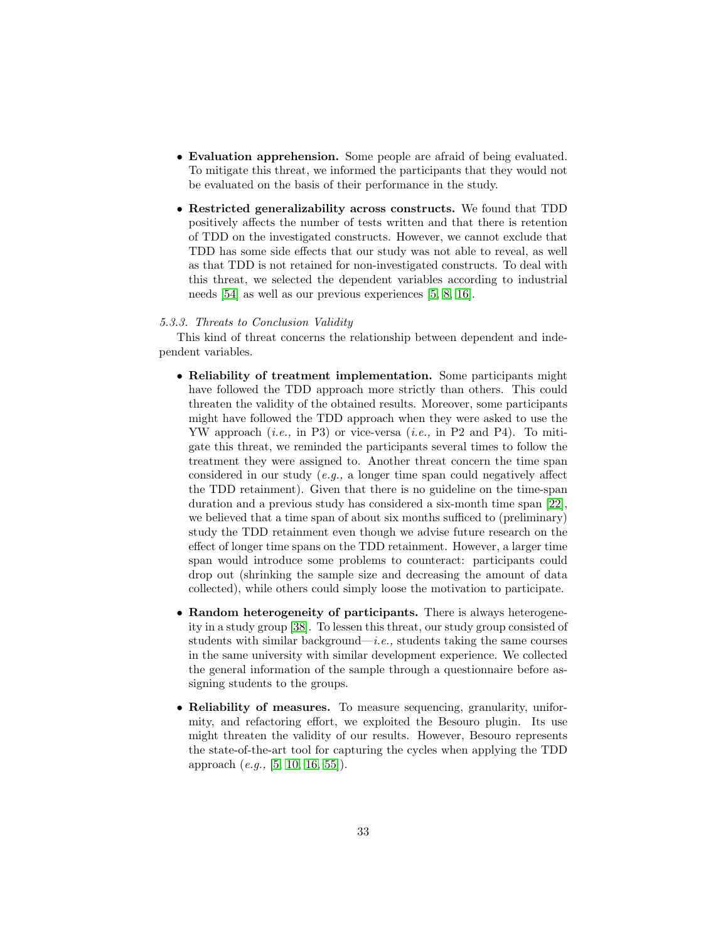- Evaluation apprehension. Some people are afraid of being evaluated. To mitigate this threat, we informed the participants that they would not be evaluated on the basis of their performance in the study.
- Restricted generalizability across constructs. We found that TDD positively affects the number of tests written and that there is retention of TDD on the investigated constructs. However, we cannot exclude that TDD has some side effects that our study was not able to reveal, as well as that TDD is not retained for non-investigated constructs. To deal with this threat, we selected the dependent variables according to industrial needs [\[54\]](#page-38-6) as well as our previous experiences [\[5,](#page-34-3) [8,](#page-34-6) [16\]](#page-35-3).

#### 5.3.3. Threats to Conclusion Validity

This kind of threat concerns the relationship between dependent and independent variables.

- Reliability of treatment implementation. Some participants might have followed the TDD approach more strictly than others. This could threaten the validity of the obtained results. Moreover, some participants might have followed the TDD approach when they were asked to use the YW approach  $(i.e., in P3)$  or vice-versa  $(i.e., in P2 and P4)$ . To mitigate this threat, we reminded the participants several times to follow the treatment they were assigned to. Another threat concern the time span considered in our study (e.g., a longer time span could negatively affect the TDD retainment). Given that there is no guideline on the time-span duration and a previous study has considered a six-month time span [\[22\]](#page-35-9), we believed that a time span of about six months sufficed to (preliminary) study the TDD retainment even though we advise future research on the effect of longer time spans on the TDD retainment. However, a larger time span would introduce some problems to counteract: participants could drop out (shrinking the sample size and decreasing the amount of data collected), while others could simply loose the motivation to participate.
- Random heterogeneity of participants. There is always heterogeneity in a study group [\[38\]](#page-37-1). To lessen this threat, our study group consisted of students with similar background—*i.e.*, students taking the same courses in the same university with similar development experience. We collected the general information of the sample through a questionnaire before assigning students to the groups.
- Reliability of measures. To measure sequencing, granularity, uniformity, and refactoring effort, we exploited the Besouro plugin. Its use might threaten the validity of our results. However, Besouro represents the state-of-the-art tool for capturing the cycles when applying the TDD approach (e.g., [\[5,](#page-34-3) [10,](#page-34-8) [16,](#page-35-3) [55\]](#page-38-7)).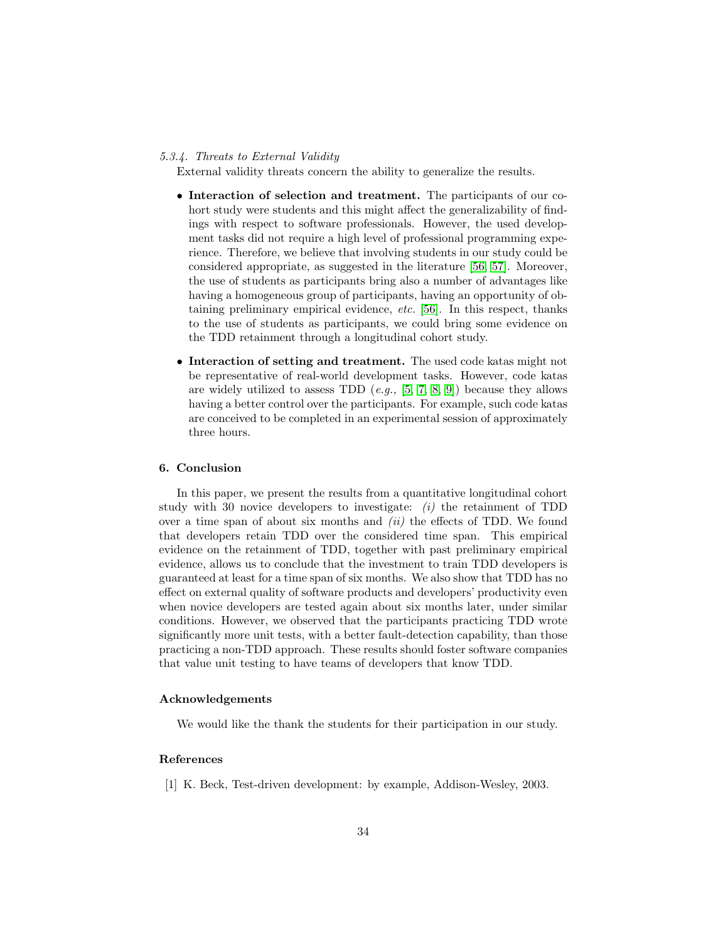#### 5.3.4. Threats to External Validity

External validity threats concern the ability to generalize the results.

- Interaction of selection and treatment. The participants of our cohort study were students and this might affect the generalizability of findings with respect to software professionals. However, the used development tasks did not require a high level of professional programming experience. Therefore, we believe that involving students in our study could be considered appropriate, as suggested in the literature [\[56,](#page-38-8) [57\]](#page-38-9). Moreover, the use of students as participants bring also a number of advantages like having a homogeneous group of participants, having an opportunity of obtaining preliminary empirical evidence, etc. [\[56\]](#page-38-8). In this respect, thanks to the use of students as participants, we could bring some evidence on the TDD retainment through a longitudinal cohort study.
- Interaction of setting and treatment. The used code katas might not be representative of real-world development tasks. However, code katas are widely utilized to assess TDD  $(e.g., [5, 7, 8, 9])$  $(e.g., [5, 7, 8, 9])$  $(e.g., [5, 7, 8, 9])$  $(e.g., [5, 7, 8, 9])$  $(e.g., [5, 7, 8, 9])$  $(e.g., [5, 7, 8, 9])$  because they allows having a better control over the participants. For example, such code katas are conceived to be completed in an experimental session of approximately three hours.

# 6. Conclusion

In this paper, we present the results from a quantitative longitudinal cohort study with 30 novice developers to investigate:  $(i)$  the retainment of TDD over a time span of about six months and  $(ii)$  the effects of TDD. We found that developers retain TDD over the considered time span. This empirical evidence on the retainment of TDD, together with past preliminary empirical evidence, allows us to conclude that the investment to train TDD developers is guaranteed at least for a time span of six months. We also show that TDD has no effect on external quality of software products and developers' productivity even when novice developers are tested again about six months later, under similar conditions. However, we observed that the participants practicing TDD wrote significantly more unit tests, with a better fault-detection capability, than those practicing a non-TDD approach. These results should foster software companies that value unit testing to have teams of developers that know TDD.

# Acknowledgements

We would like the thank the students for their participation in our study.

# References

<span id="page-33-0"></span>[1] K. Beck, Test-driven development: by example, Addison-Wesley, 2003.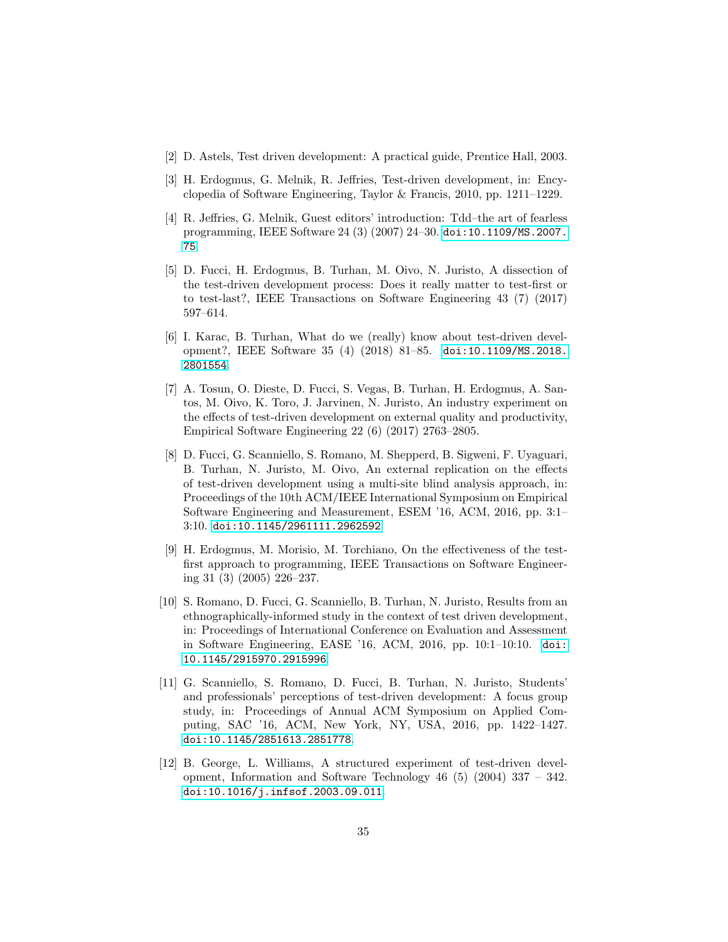- <span id="page-34-0"></span>[2] D. Astels, Test driven development: A practical guide, Prentice Hall, 2003.
- <span id="page-34-1"></span>[3] H. Erdogmus, G. Melnik, R. Jeffries, Test-driven development, in: Encyclopedia of Software Engineering, Taylor & Francis, 2010, pp. 1211–1229.
- <span id="page-34-2"></span>[4] R. Jeffries, G. Melnik, Guest editors' introduction: Tdd–the art of fearless programming, IEEE Software 24 (3) (2007) 24–30. [doi:10.1109/MS.2007.](http://dx.doi.org/10.1109/MS.2007.75) [75](http://dx.doi.org/10.1109/MS.2007.75).
- <span id="page-34-3"></span>[5] D. Fucci, H. Erdogmus, B. Turhan, M. Oivo, N. Juristo, A dissection of the test-driven development process: Does it really matter to test-first or to test-last?, IEEE Transactions on Software Engineering 43 (7) (2017) 597–614.
- <span id="page-34-4"></span>[6] I. Karac, B. Turhan, What do we (really) know about test-driven development?, IEEE Software 35 (4) (2018) 81–85. [doi:10.1109/MS.2018.](http://dx.doi.org/10.1109/MS.2018.2801554) [2801554](http://dx.doi.org/10.1109/MS.2018.2801554).
- <span id="page-34-5"></span>[7] A. Tosun, O. Dieste, D. Fucci, S. Vegas, B. Turhan, H. Erdogmus, A. Santos, M. Oivo, K. Toro, J. Jarvinen, N. Juristo, An industry experiment on the effects of test-driven development on external quality and productivity, Empirical Software Engineering 22 (6) (2017) 2763–2805.
- <span id="page-34-6"></span>[8] D. Fucci, G. Scanniello, S. Romano, M. Shepperd, B. Sigweni, F. Uyaguari, B. Turhan, N. Juristo, M. Oivo, An external replication on the effects of test-driven development using a multi-site blind analysis approach, in: Proceedings of the 10th ACM/IEEE International Symposium on Empirical Software Engineering and Measurement, ESEM '16, ACM, 2016, pp. 3:1– 3:10. [doi:10.1145/2961111.2962592](http://dx.doi.org/10.1145/2961111.2962592).
- <span id="page-34-7"></span>[9] H. Erdogmus, M. Morisio, M. Torchiano, On the effectiveness of the testfirst approach to programming, IEEE Transactions on Software Engineering 31 (3) (2005) 226–237.
- <span id="page-34-8"></span>[10] S. Romano, D. Fucci, G. Scanniello, B. Turhan, N. Juristo, Results from an ethnographically-informed study in the context of test driven development, in: Proceedings of International Conference on Evaluation and Assessment in Software Engineering, EASE '16, ACM, 2016, pp. 10:1–10:10. [doi:](http://dx.doi.org/10.1145/2915970.2915996) [10.1145/2915970.2915996](http://dx.doi.org/10.1145/2915970.2915996).
- <span id="page-34-9"></span>[11] G. Scanniello, S. Romano, D. Fucci, B. Turhan, N. Juristo, Students' and professionals' perceptions of test-driven development: A focus group study, in: Proceedings of Annual ACM Symposium on Applied Computing, SAC '16, ACM, New York, NY, USA, 2016, pp. 1422–1427. [doi:10.1145/2851613.2851778](http://dx.doi.org/10.1145/2851613.2851778).
- <span id="page-34-10"></span>[12] B. George, L. Williams, A structured experiment of test-driven development, Information and Software Technology 46 (5) (2004) 337 – 342. [doi:10.1016/j.infsof.2003.09.011](http://dx.doi.org/10.1016/j.infsof.2003.09.011).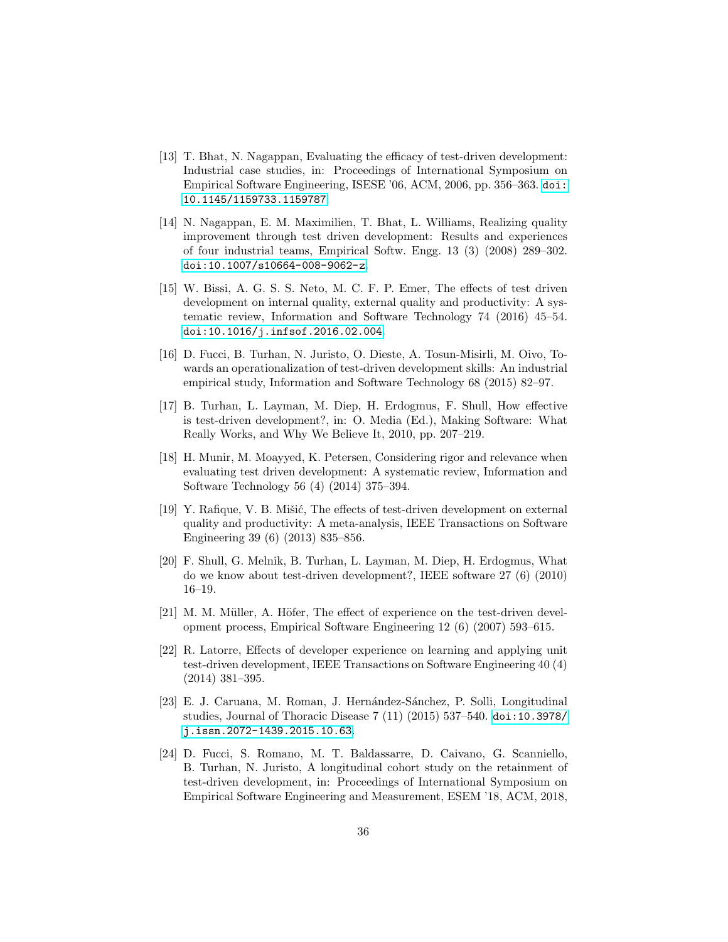- <span id="page-35-0"></span>[13] T. Bhat, N. Nagappan, Evaluating the efficacy of test-driven development: Industrial case studies, in: Proceedings of International Symposium on Empirical Software Engineering, ISESE '06, ACM, 2006, pp. 356–363. [doi:](http://dx.doi.org/10.1145/1159733.1159787) [10.1145/1159733.1159787](http://dx.doi.org/10.1145/1159733.1159787).
- <span id="page-35-1"></span>[14] N. Nagappan, E. M. Maximilien, T. Bhat, L. Williams, Realizing quality improvement through test driven development: Results and experiences of four industrial teams, Empirical Softw. Engg. 13 (3) (2008) 289–302. [doi:10.1007/s10664-008-9062-z](http://dx.doi.org/10.1007/s10664-008-9062-z).
- <span id="page-35-2"></span>[15] W. Bissi, A. G. S. S. Neto, M. C. F. P. Emer, The effects of test driven development on internal quality, external quality and productivity: A systematic review, Information and Software Technology 74 (2016) 45–54. [doi:10.1016/j.infsof.2016.02.004](http://dx.doi.org/10.1016/j.infsof.2016.02.004).
- <span id="page-35-3"></span>[16] D. Fucci, B. Turhan, N. Juristo, O. Dieste, A. Tosun-Misirli, M. Oivo, Towards an operationalization of test-driven development skills: An industrial empirical study, Information and Software Technology 68 (2015) 82–97.
- <span id="page-35-4"></span>[17] B. Turhan, L. Layman, M. Diep, H. Erdogmus, F. Shull, How effective is test-driven development?, in: O. Media (Ed.), Making Software: What Really Works, and Why We Believe It, 2010, pp. 207–219.
- <span id="page-35-5"></span>[18] H. Munir, M. Moayyed, K. Petersen, Considering rigor and relevance when evaluating test driven development: A systematic review, Information and Software Technology 56 (4) (2014) 375–394.
- <span id="page-35-6"></span>[19] Y. Rafique, V. B. Mišić, The effects of test-driven development on external quality and productivity: A meta-analysis, IEEE Transactions on Software Engineering 39 (6) (2013) 835–856.
- <span id="page-35-7"></span>[20] F. Shull, G. Melnik, B. Turhan, L. Layman, M. Diep, H. Erdogmus, What do we know about test-driven development?, IEEE software 27 (6) (2010) 16–19.
- <span id="page-35-8"></span>[21] M. M. Müller, A. Höfer, The effect of experience on the test-driven development process, Empirical Software Engineering 12 (6) (2007) 593–615.
- <span id="page-35-9"></span>[22] R. Latorre, Effects of developer experience on learning and applying unit test-driven development, IEEE Transactions on Software Engineering 40 (4) (2014) 381–395.
- <span id="page-35-10"></span>[23] E. J. Caruana, M. Roman, J. Hernández-Sánchez, P. Solli, Longitudinal studies, Journal of Thoracic Disease 7 (11) (2015) 537–540. [doi:10.3978/](http://dx.doi.org/10.3978/j.issn.2072-1439.2015.10.63) [j.issn.2072-1439.2015.10.63](http://dx.doi.org/10.3978/j.issn.2072-1439.2015.10.63).
- <span id="page-35-11"></span>[24] D. Fucci, S. Romano, M. T. Baldassarre, D. Caivano, G. Scanniello, B. Turhan, N. Juristo, A longitudinal cohort study on the retainment of test-driven development, in: Proceedings of International Symposium on Empirical Software Engineering and Measurement, ESEM '18, ACM, 2018,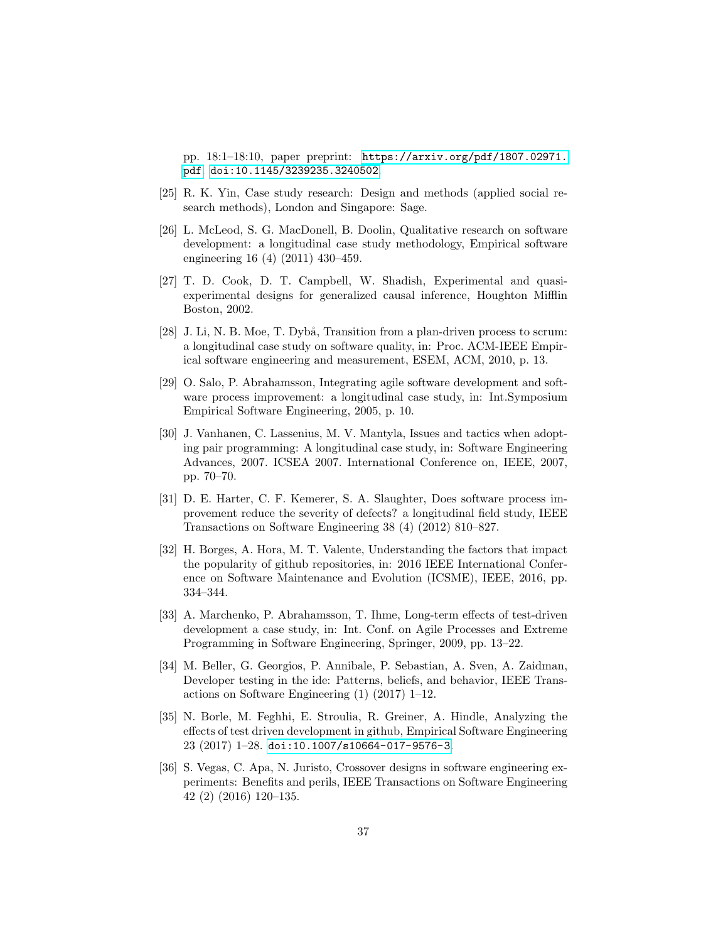pp. 18:1–18:10, paper preprint: [https://arxiv.org/pdf/1807.02971.](https://arxiv.org/pdf/1807.02971.pdf) [pdf](https://arxiv.org/pdf/1807.02971.pdf). [doi:10.1145/3239235.3240502](http://dx.doi.org/10.1145/3239235.3240502).

- <span id="page-36-0"></span>[25] R. K. Yin, Case study research: Design and methods (applied social research methods), London and Singapore: Sage.
- <span id="page-36-1"></span>[26] L. McLeod, S. G. MacDonell, B. Doolin, Qualitative research on software development: a longitudinal case study methodology, Empirical software engineering 16 (4) (2011) 430–459.
- <span id="page-36-2"></span>[27] T. D. Cook, D. T. Campbell, W. Shadish, Experimental and quasiexperimental designs for generalized causal inference, Houghton Mifflin Boston, 2002.
- <span id="page-36-3"></span>[28] J. Li, N. B. Moe, T. Dybå, Transition from a plan-driven process to scrum: a longitudinal case study on software quality, in: Proc. ACM-IEEE Empirical software engineering and measurement, ESEM, ACM, 2010, p. 13.
- <span id="page-36-4"></span>[29] O. Salo, P. Abrahamsson, Integrating agile software development and software process improvement: a longitudinal case study, in: Int.Symposium Empirical Software Engineering, 2005, p. 10.
- <span id="page-36-5"></span>[30] J. Vanhanen, C. Lassenius, M. V. Mantyla, Issues and tactics when adopting pair programming: A longitudinal case study, in: Software Engineering Advances, 2007. ICSEA 2007. International Conference on, IEEE, 2007, pp. 70–70.
- <span id="page-36-6"></span>[31] D. E. Harter, C. F. Kemerer, S. A. Slaughter, Does software process improvement reduce the severity of defects? a longitudinal field study, IEEE Transactions on Software Engineering 38 (4) (2012) 810–827.
- <span id="page-36-7"></span>[32] H. Borges, A. Hora, M. T. Valente, Understanding the factors that impact the popularity of github repositories, in: 2016 IEEE International Conference on Software Maintenance and Evolution (ICSME), IEEE, 2016, pp. 334–344.
- <span id="page-36-8"></span>[33] A. Marchenko, P. Abrahamsson, T. Ihme, Long-term effects of test-driven development a case study, in: Int. Conf. on Agile Processes and Extreme Programming in Software Engineering, Springer, 2009, pp. 13–22.
- <span id="page-36-9"></span>[34] M. Beller, G. Georgios, P. Annibale, P. Sebastian, A. Sven, A. Zaidman, Developer testing in the ide: Patterns, beliefs, and behavior, IEEE Transactions on Software Engineering (1) (2017) 1–12.
- <span id="page-36-10"></span>[35] N. Borle, M. Feghhi, E. Stroulia, R. Greiner, A. Hindle, Analyzing the effects of test driven development in github, Empirical Software Engineering 23 (2017) 1–28. [doi:10.1007/s10664-017-9576-3](http://dx.doi.org/10.1007/s10664-017-9576-3).
- <span id="page-36-11"></span>[36] S. Vegas, C. Apa, N. Juristo, Crossover designs in software engineering experiments: Benefits and perils, IEEE Transactions on Software Engineering 42 (2) (2016) 120–135.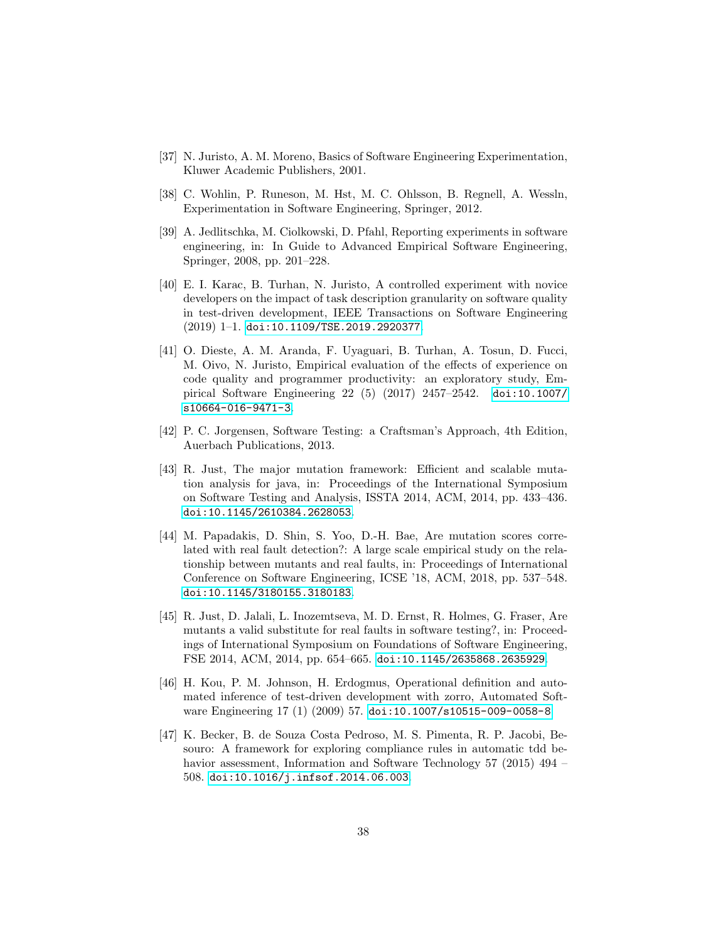- <span id="page-37-0"></span>[37] N. Juristo, A. M. Moreno, Basics of Software Engineering Experimentation, Kluwer Academic Publishers, 2001.
- <span id="page-37-1"></span>[38] C. Wohlin, P. Runeson, M. Hst, M. C. Ohlsson, B. Regnell, A. Wessln, Experimentation in Software Engineering, Springer, 2012.
- <span id="page-37-2"></span>[39] A. Jedlitschka, M. Ciolkowski, D. Pfahl, Reporting experiments in software engineering, in: In Guide to Advanced Empirical Software Engineering, Springer, 2008, pp. 201–228.
- <span id="page-37-3"></span>[40] E. I. Karac, B. Turhan, N. Juristo, A controlled experiment with novice developers on the impact of task description granularity on software quality in test-driven development, IEEE Transactions on Software Engineering (2019) 1–1. [doi:10.1109/TSE.2019.2920377](http://dx.doi.org/10.1109/TSE.2019.2920377).
- <span id="page-37-4"></span>[41] O. Dieste, A. M. Aranda, F. Uyaguari, B. Turhan, A. Tosun, D. Fucci, M. Oivo, N. Juristo, Empirical evaluation of the effects of experience on code quality and programmer productivity: an exploratory study, Empirical Software Engineering 22 (5) (2017) 2457–2542. [doi:10.1007/](http://dx.doi.org/10.1007/s10664-016-9471-3) [s10664-016-9471-3](http://dx.doi.org/10.1007/s10664-016-9471-3).
- <span id="page-37-5"></span>[42] P. C. Jorgensen, Software Testing: a Craftsman's Approach, 4th Edition, Auerbach Publications, 2013.
- <span id="page-37-6"></span>[43] R. Just, The major mutation framework: Efficient and scalable mutation analysis for java, in: Proceedings of the International Symposium on Software Testing and Analysis, ISSTA 2014, ACM, 2014, pp. 433–436. [doi:10.1145/2610384.2628053](http://dx.doi.org/10.1145/2610384.2628053).
- <span id="page-37-7"></span>[44] M. Papadakis, D. Shin, S. Yoo, D.-H. Bae, Are mutation scores correlated with real fault detection?: A large scale empirical study on the relationship between mutants and real faults, in: Proceedings of International Conference on Software Engineering, ICSE '18, ACM, 2018, pp. 537–548. [doi:10.1145/3180155.3180183](http://dx.doi.org/10.1145/3180155.3180183).
- <span id="page-37-8"></span>[45] R. Just, D. Jalali, L. Inozemtseva, M. D. Ernst, R. Holmes, G. Fraser, Are mutants a valid substitute for real faults in software testing?, in: Proceedings of International Symposium on Foundations of Software Engineering, FSE 2014, ACM, 2014, pp. 654–665. [doi:10.1145/2635868.2635929](http://dx.doi.org/10.1145/2635868.2635929).
- <span id="page-37-10"></span>[46] H. Kou, P. M. Johnson, H. Erdogmus, Operational definition and automated inference of test-driven development with zorro, Automated Software Engineering 17 (1) (2009) 57. [doi:10.1007/s10515-009-0058-8](http://dx.doi.org/10.1007/s10515-009-0058-8).
- <span id="page-37-9"></span>[47] K. Becker, B. de Souza Costa Pedroso, M. S. Pimenta, R. P. Jacobi, Besouro: A framework for exploring compliance rules in automatic tdd behavior assessment, Information and Software Technology 57 (2015) 494 – 508. [doi:10.1016/j.infsof.2014.06.003](http://dx.doi.org/10.1016/j.infsof.2014.06.003).